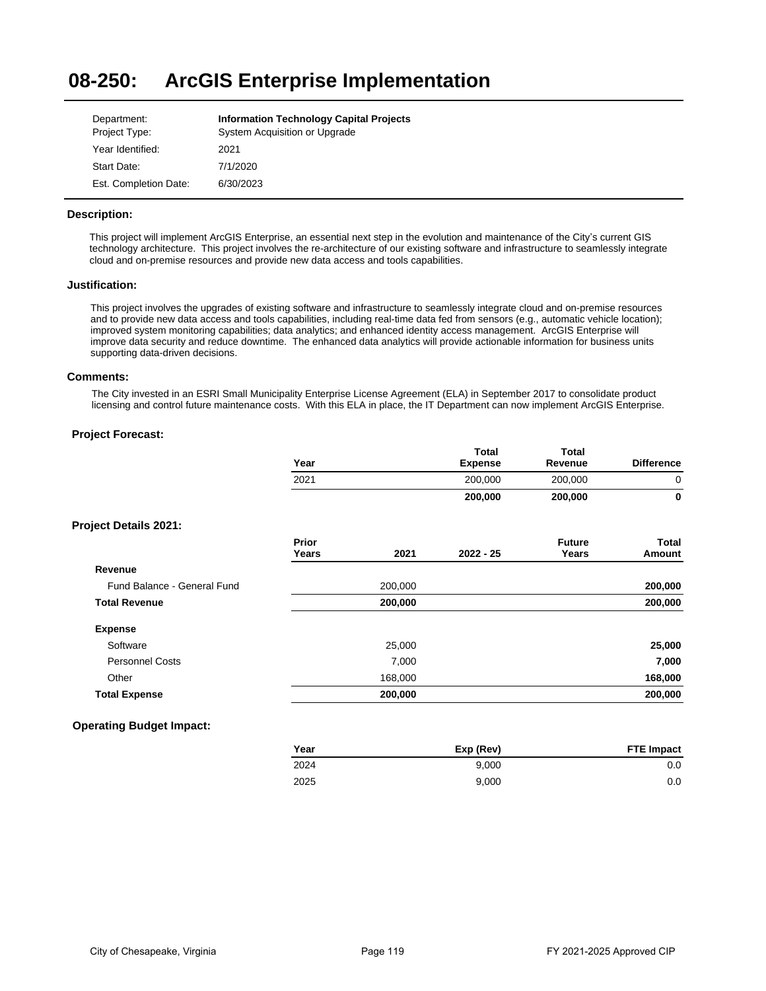#### **08-250: ArcGIS Enterprise Implementation**

| Department:           | <b>Information Technology Capital Projects</b> |
|-----------------------|------------------------------------------------|
| Project Type:         | System Acquisition or Upgrade                  |
| Year Identified:      | 2021                                           |
| Start Date:           | 7/1/2020                                       |
| Est. Completion Date: | 6/30/2023                                      |

# **Description:**

This project will implement ArcGIS Enterprise, an essential next step in the evolution and maintenance of the City's current GIS technology architecture. This project involves the re-architecture of our existing software and infrastructure to seamlessly integrate cloud and on-premise resources and provide new data access and tools capabilities.

# **Justification:**

This project involves the upgrades of existing software and infrastructure to seamlessly integrate cloud and on-premise resources and to provide new data access and tools capabilities, including real-time data fed from sensors (e.g., automatic vehicle location); improved system monitoring capabilities; data analytics; and enhanced identity access management. ArcGIS Enterprise will improve data security and reduce downtime. The enhanced data analytics will provide actionable information for business units supporting data-driven decisions.

## **Comments:**

The City invested in an ESRI Small Municipality Enterprise License Agreement (ELA) in September 2017 to consolidate product licensing and control future maintenance costs. With this ELA in place, the IT Department can now implement ArcGIS Enterprise.

# **Project Forecast:**

|                              | Year           |         | <b>Total</b><br><b>Expense</b> | <b>Total</b><br>Revenue | <b>Difference</b> |
|------------------------------|----------------|---------|--------------------------------|-------------------------|-------------------|
|                              | 2021           |         | 200,000                        | 200,000                 | $\mathbf 0$       |
|                              |                |         | 200,000                        | 200,000                 | 0                 |
| <b>Project Details 2021:</b> |                |         |                                |                         |                   |
|                              | Prior<br>Years | 2021    | $2022 - 25$                    | <b>Future</b><br>Years  | Total<br>Amount   |
| Revenue                      |                |         |                                |                         |                   |
| Fund Balance - General Fund  |                | 200,000 |                                |                         | 200,000           |
| <b>Total Revenue</b>         |                | 200,000 |                                |                         | 200,000           |
| <b>Expense</b>               |                |         |                                |                         |                   |
| Software                     |                | 25,000  |                                |                         | 25,000            |
| <b>Personnel Costs</b>       |                | 7,000   |                                |                         | 7,000             |
| Other                        |                | 168,000 |                                |                         | 168,000           |
| <b>Total Expense</b>         |                | 200,000 |                                |                         | 200,000           |

# **Operating Budget Impact:**

| Year | Exp (Rev) | <b>FTE Impact</b> |
|------|-----------|-------------------|
| 2024 | 9.000     | 0.0               |
| 2025 | 9.000     | 0.0               |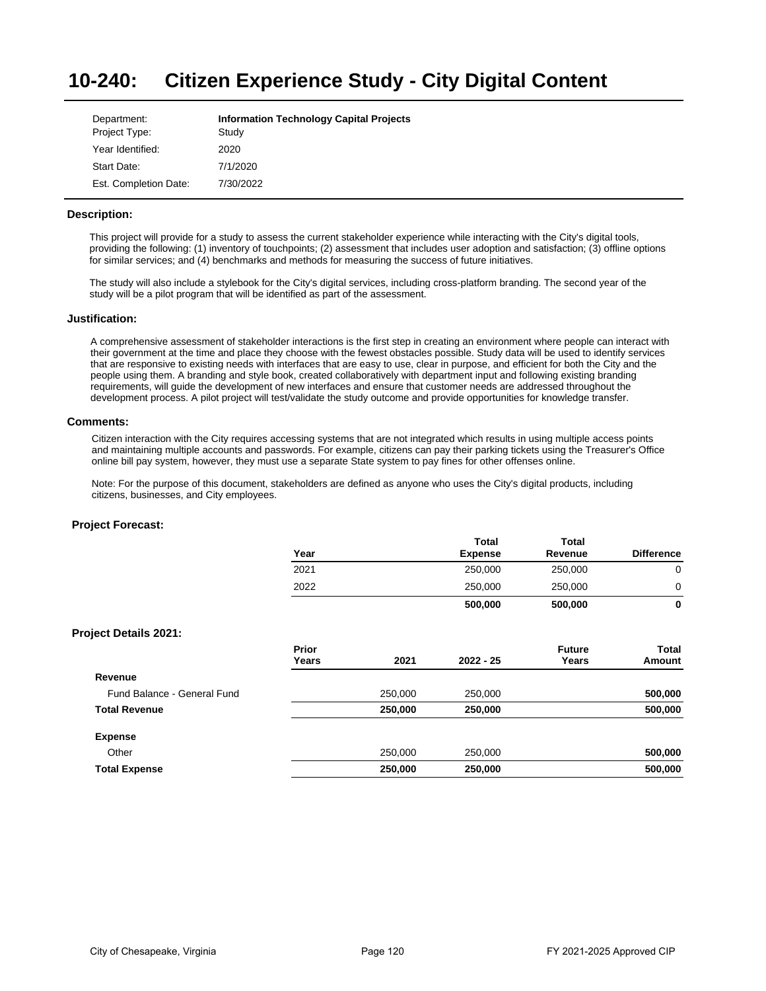#### **10-240: Citizen Experience Study - City Digital Content**

| Department:           | <b>Information Technology Capital Projects</b> |
|-----------------------|------------------------------------------------|
| Project Type:         | Study                                          |
| Year Identified:      | 2020                                           |
| Start Date:           | 7/1/2020                                       |
| Est. Completion Date: | 7/30/2022                                      |

# **Description:**

This project will provide for a study to assess the current stakeholder experience while interacting with the City's digital tools, providing the following: (1) inventory of touchpoints; (2) assessment that includes user adoption and satisfaction; (3) offline options for similar services; and (4) benchmarks and methods for measuring the success of future initiatives.

The study will also include a stylebook for the City's digital services, including cross-platform branding. The second year of the study will be a pilot program that will be identified as part of the assessment.

### **Justification:**

A comprehensive assessment of stakeholder interactions is the first step in creating an environment where people can interact with their government at the time and place they choose with the fewest obstacles possible. Study data will be used to identify services that are responsive to existing needs with interfaces that are easy to use, clear in purpose, and efficient for both the City and the people using them. A branding and style book, created collaboratively with department input and following existing branding requirements, will guide the development of new interfaces and ensure that customer needs are addressed throughout the development process. A pilot project will test/validate the study outcome and provide opportunities for knowledge transfer.

### **Comments:**

Citizen interaction with the City requires accessing systems that are not integrated which results in using multiple access points and maintaining multiple accounts and passwords. For example, citizens can pay their parking tickets using the Treasurer's Office online bill pay system, however, they must use a separate State system to pay fines for other offenses online.

Note: For the purpose of this document, stakeholders are defined as anyone who uses the City's digital products, including citizens, businesses, and City employees.

|                              | Year  |         | Total<br><b>Expense</b> | Total<br>Revenue | <b>Difference</b> |
|------------------------------|-------|---------|-------------------------|------------------|-------------------|
|                              | 2021  |         | 250,000                 | 250,000          | 0                 |
|                              | 2022  |         | 250,000                 | 250,000          | 0                 |
|                              |       |         | 500,000                 | 500,000          | 0                 |
| <b>Project Details 2021:</b> |       |         |                         |                  |                   |
|                              | Prior |         |                         | <b>Future</b>    | Total             |
|                              | Years | 2021    | $2022 - 25$             | Years            | Amount            |
| Revenue                      |       |         |                         |                  |                   |
| Fund Balance - General Fund  |       | 250,000 | 250,000                 |                  | 500,000           |
| <b>Total Revenue</b>         |       | 250,000 | 250,000                 |                  | 500,000           |
| <b>Expense</b>               |       |         |                         |                  |                   |
| Other                        |       | 250,000 | 250,000                 |                  | 500,000           |
| <b>Total Expense</b>         |       | 250,000 | 250,000                 |                  | 500,000           |
|                              |       |         |                         |                  |                   |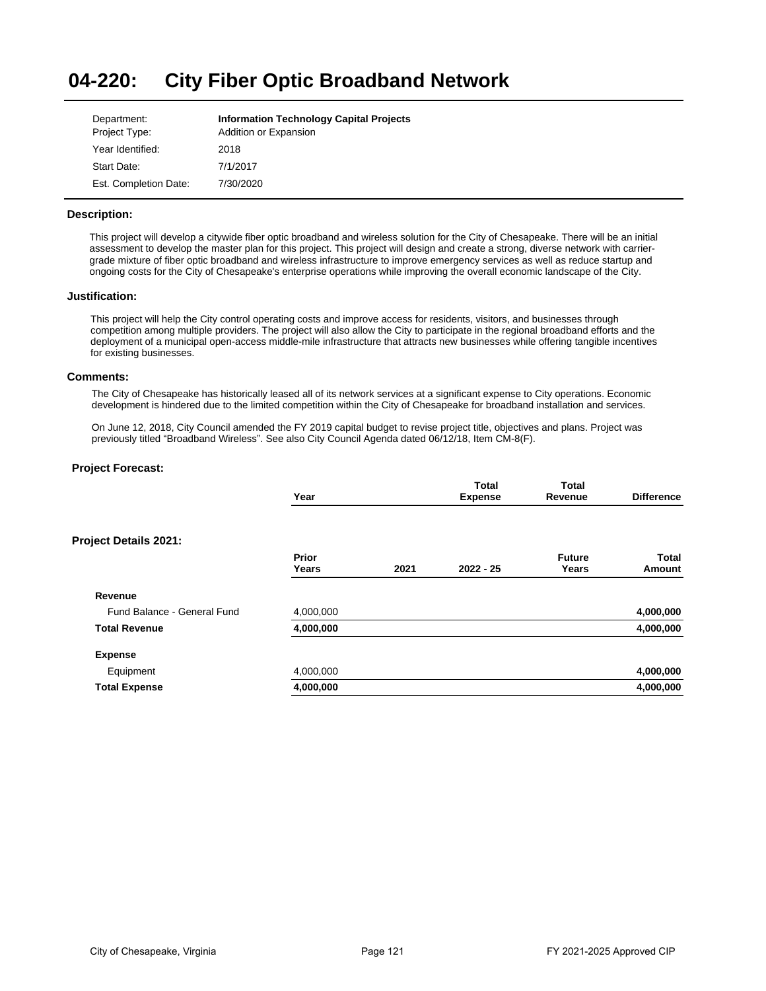#### **04-220: City Fiber Optic Broadband Network**

| Department:           | <b>Information Technology Capital Projects</b> |
|-----------------------|------------------------------------------------|
| Project Type:         | Addition or Expansion                          |
| Year Identified:      | 2018                                           |
| Start Date:           | 7/1/2017                                       |
| Est. Completion Date: | 7/30/2020                                      |

# **Description:**

This project will develop a citywide fiber optic broadband and wireless solution for the City of Chesapeake. There will be an initial assessment to develop the master plan for this project. This project will design and create a strong, diverse network with carriergrade mixture of fiber optic broadband and wireless infrastructure to improve emergency services as well as reduce startup and ongoing costs for the City of Chesapeake's enterprise operations while improving the overall economic landscape of the City.

# **Justification:**

This project will help the City control operating costs and improve access for residents, visitors, and businesses through competition among multiple providers. The project will also allow the City to participate in the regional broadband efforts and the deployment of a municipal open-access middle-mile infrastructure that attracts new businesses while offering tangible incentives for existing businesses.

### **Comments:**

The City of Chesapeake has historically leased all of its network services at a significant expense to City operations. Economic development is hindered due to the limited competition within the City of Chesapeake for broadband installation and services.

On June 12, 2018, City Council amended the FY 2019 capital budget to revise project title, objectives and plans. Project was previously titled "Broadband Wireless". See also City Council Agenda dated 06/12/18, Item CM-8(F).

| Year           |      | <b>Total</b><br><b>Expense</b> | <b>Total</b><br>Revenue | <b>Difference</b>      |
|----------------|------|--------------------------------|-------------------------|------------------------|
|                |      |                                |                         |                        |
| Prior<br>Years | 2021 | $2022 - 25$                    | <b>Future</b><br>Years  | <b>Total</b><br>Amount |
|                |      |                                |                         |                        |
| 4,000,000      |      |                                |                         | 4,000,000              |
| 4,000,000      |      |                                |                         | 4,000,000              |
|                |      |                                |                         |                        |
| 4,000,000      |      |                                |                         | 4,000,000              |
| 4,000,000      |      |                                |                         | 4,000,000              |
|                |      |                                |                         |                        |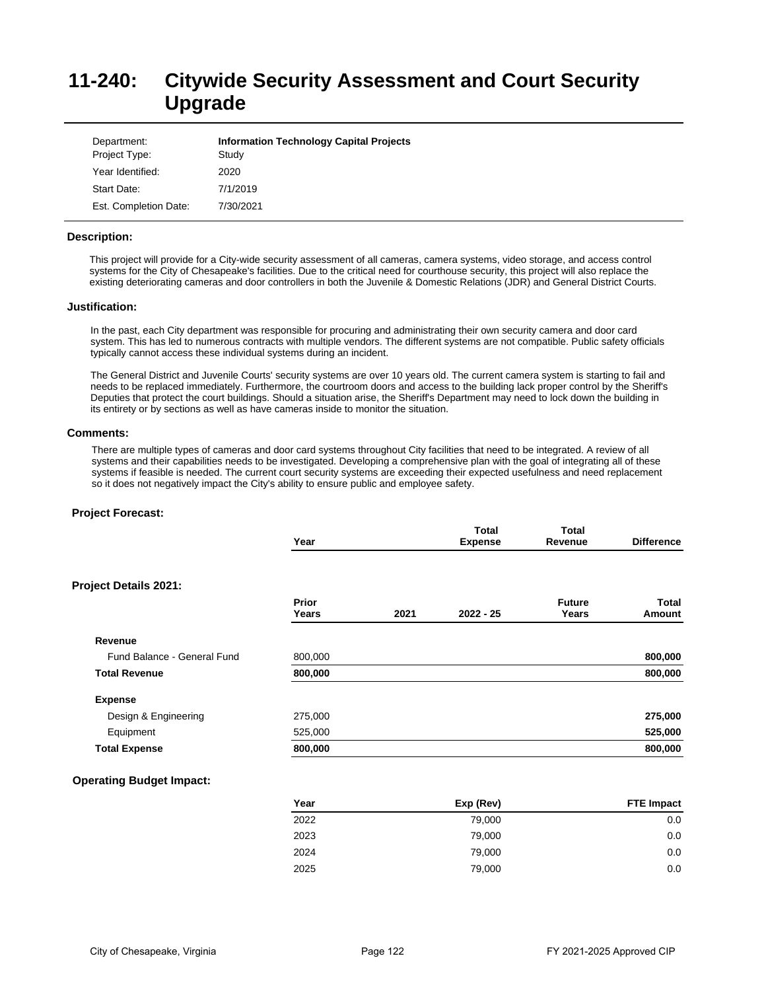# **11-240: Citywide Security Assessment and Court Security Upgrade**

| Department:<br>Project Type: | <b>Information Technology Capital Projects</b><br>Study |
|------------------------------|---------------------------------------------------------|
| Year Identified:             | 2020                                                    |
| Start Date:                  | 7/1/2019                                                |
| Est. Completion Date:        | 7/30/2021                                               |

### **Description:**

This project will provide for a City-wide security assessment of all cameras, camera systems, video storage, and access control systems for the City of Chesapeake's facilities. Due to the critical need for courthouse security, this project will also replace the existing deteriorating cameras and door controllers in both the Juvenile & Domestic Relations (JDR) and General District Courts.

### **Justification:**

In the past, each City department was responsible for procuring and administrating their own security camera and door card system. This has led to numerous contracts with multiple vendors. The different systems are not compatible. Public safety officials typically cannot access these individual systems during an incident.

The General District and Juvenile Courts' security systems are over 10 years old. The current camera system is starting to fail and needs to be replaced immediately. Furthermore, the courtroom doors and access to the building lack proper control by the Sheriff's Deputies that protect the court buildings. Should a situation arise, the Sheriff's Department may need to lock down the building in its entirety or by sections as well as have cameras inside to monitor the situation.

### **Comments:**

There are multiple types of cameras and door card systems throughout City facilities that need to be integrated. A review of all systems and their capabilities needs to be investigated. Developing a comprehensive plan with the goal of integrating all of these systems if feasible is needed. The current court security systems are exceeding their expected usefulness and need replacement so it does not negatively impact the City's ability to ensure public and employee safety.

# **Project Forecast:**

|                              | Year           |      | <b>Total</b><br><b>Expense</b> | Total<br>Revenue       | <b>Difference</b> |
|------------------------------|----------------|------|--------------------------------|------------------------|-------------------|
| <b>Project Details 2021:</b> |                |      |                                |                        |                   |
|                              | Prior<br>Years | 2021 | $2022 - 25$                    | <b>Future</b><br>Years | Total<br>Amount   |
| Revenue                      |                |      |                                |                        |                   |
| Fund Balance - General Fund  | 800,000        |      |                                |                        | 800,000           |
| <b>Total Revenue</b>         | 800,000        |      |                                |                        | 800,000           |
| <b>Expense</b>               |                |      |                                |                        |                   |
| Design & Engineering         | 275,000        |      |                                |                        | 275,000           |
| Equipment                    | 525,000        |      |                                |                        | 525,000           |
| <b>Total Expense</b>         | 800,000        |      |                                |                        | 800,000           |

| Year | Exp (Rev) | <b>FTE Impact</b> |
|------|-----------|-------------------|
| 2022 | 79,000    | 0.0               |
| 2023 | 79,000    | 0.0               |
| 2024 | 79,000    | 0.0               |
| 2025 | 79,000    | 0.0               |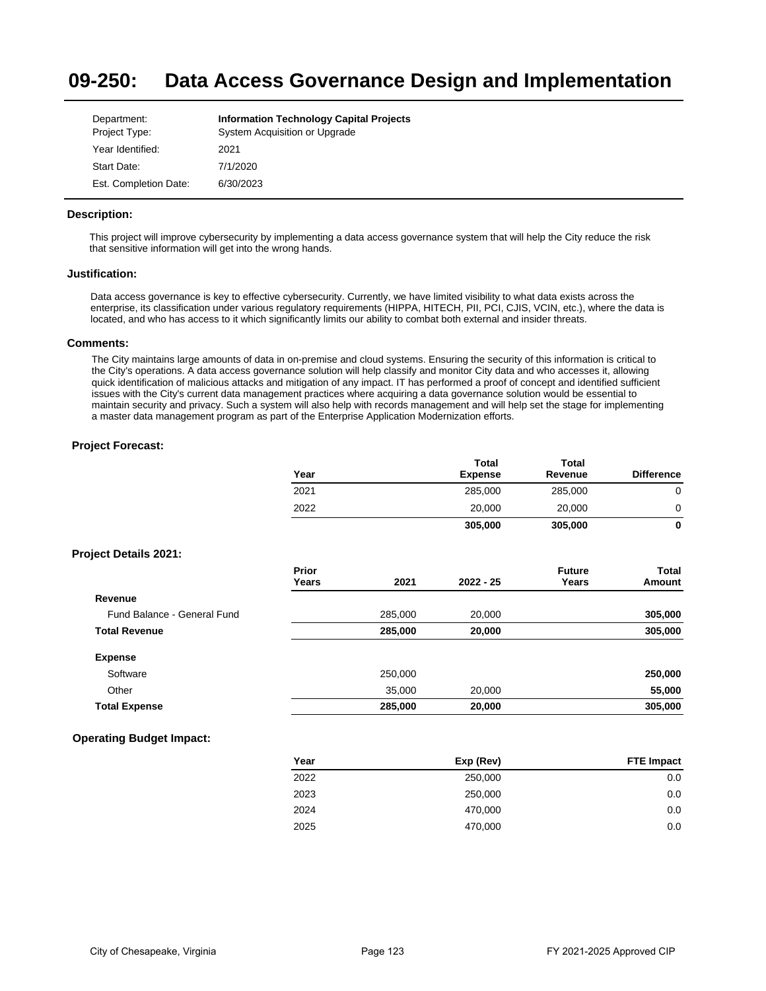#### **09-250: Data Access Governance Design and Implementation**

| Department:           | <b>Information Technology Capital Projects</b> |
|-----------------------|------------------------------------------------|
| Project Type:         | System Acquisition or Upgrade                  |
| Year Identified:      | 2021                                           |
| Start Date:           | 7/1/2020                                       |
| Est. Completion Date: | 6/30/2023                                      |

# **Description:**

This project will improve cybersecurity by implementing a data access governance system that will help the City reduce the risk that sensitive information will get into the wrong hands.

### **Justification:**

Data access governance is key to effective cybersecurity. Currently, we have limited visibility to what data exists across the enterprise, its classification under various regulatory requirements (HIPPA, HITECH, PII, PCI, CJIS, VCIN, etc.), where the data is located, and who has access to it which significantly limits our ability to combat both external and insider threats.

## **Comments:**

The City maintains large amounts of data in on-premise and cloud systems. Ensuring the security of this information is critical to the City's operations. A data access governance solution will help classify and monitor City data and who accesses it, allowing quick identification of malicious attacks and mitigation of any impact. IT has performed a proof of concept and identified sufficient issues with the City's current data management practices where acquiring a data governance solution would be essential to maintain security and privacy. Such a system will also help with records management and will help set the stage for implementing a master data management program as part of the Enterprise Application Modernization efforts.

# **Project Forecast:**

| Year | <b>Total</b><br><b>Expense</b> | <b>Total</b><br>Revenue | <b>Difference</b> |
|------|--------------------------------|-------------------------|-------------------|
| 2021 | 285,000                        | 285,000                 | 0                 |
| 2022 | 20,000                         | 20,000                  | 0                 |
|      | 305,000                        | 305,000                 | 0                 |

### **Project Details 2021:**

|                             | Prior<br>Years | 2021    | $2022 - 25$ | <b>Future</b><br>Years | <b>Total</b><br>Amount |
|-----------------------------|----------------|---------|-------------|------------------------|------------------------|
| Revenue                     |                |         |             |                        |                        |
| Fund Balance - General Fund |                | 285,000 | 20,000      |                        | 305,000                |
| <b>Total Revenue</b>        |                | 285.000 | 20,000      |                        | 305,000                |
| <b>Expense</b>              |                |         |             |                        |                        |
| Software                    |                | 250,000 |             |                        | 250,000                |
| Other                       |                | 35,000  | 20,000      |                        | 55,000                 |
| <b>Total Expense</b>        |                | 285,000 | 20,000      |                        | 305,000                |

| Year | Exp (Rev) | <b>FTE Impact</b> |
|------|-----------|-------------------|
| 2022 | 250,000   | 0.0               |
| 2023 | 250,000   | 0.0               |
| 2024 | 470,000   | 0.0               |
| 2025 | 470,000   | 0.0               |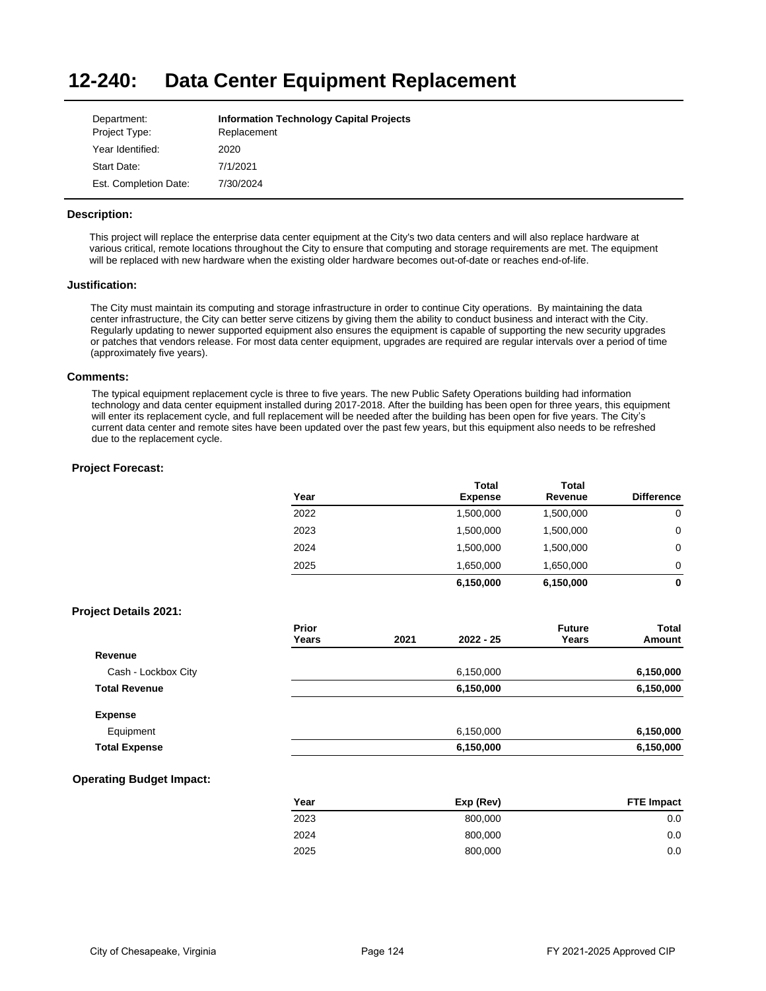#### **12-240: Data Center Equipment Replacement**

| Department:           | <b>Information Technology Capital Projects</b> |
|-----------------------|------------------------------------------------|
| Project Type:         | Replacement                                    |
| Year Identified:      | 2020                                           |
| Start Date:           | 7/1/2021                                       |
| Est. Completion Date: | 7/30/2024                                      |

# **Description:**

This project will replace the enterprise data center equipment at the City's two data centers and will also replace hardware at various critical, remote locations throughout the City to ensure that computing and storage requirements are met. The equipment will be replaced with new hardware when the existing older hardware becomes out-of-date or reaches end-of-life.

# **Justification:**

The City must maintain its computing and storage infrastructure in order to continue City operations. By maintaining the data center infrastructure, the City can better serve citizens by giving them the ability to conduct business and interact with the City. Regularly updating to newer supported equipment also ensures the equipment is capable of supporting the new security upgrades or patches that vendors release. For most data center equipment, upgrades are required are regular intervals over a period of time (approximately five years).

### **Comments:**

The typical equipment replacement cycle is three to five years. The new Public Safety Operations building had information technology and data center equipment installed during 2017-2018. After the building has been open for three years, this equipment will enter its replacement cycle, and full replacement will be needed after the building has been open for five years. The City's current data center and remote sites have been updated over the past few years, but this equipment also needs to be refreshed due to the replacement cycle.

# **Project Forecast:**

|                              | Year           |      | <b>Total</b><br><b>Expense</b> | <b>Total</b><br>Revenue | <b>Difference</b>      |
|------------------------------|----------------|------|--------------------------------|-------------------------|------------------------|
|                              | 2022           |      | 1,500,000                      | 1,500,000               | $\mathbf 0$            |
|                              | 2023           |      | 1,500,000                      | 1,500,000               | 0                      |
|                              | 2024           |      | 1,500,000                      | 1,500,000               | $\mathbf 0$            |
|                              | 2025           |      | 1,650,000                      | 1,650,000               | 0                      |
|                              |                |      | 6,150,000                      | 6,150,000               | $\mathbf 0$            |
| <b>Project Details 2021:</b> |                |      |                                |                         |                        |
|                              | Prior<br>Years | 2021 | 2022 - 25                      | <b>Future</b><br>Years  | <b>Total</b><br>Amount |
| Revenue                      |                |      |                                |                         |                        |
| Cash - Lockbox City          |                |      | 6,150,000                      |                         | 6,150,000              |
| <b>Total Revenue</b>         |                |      | 6,150,000                      |                         | 6,150,000              |
| <b>Expense</b>               |                |      |                                |                         |                        |
| Equipment                    |                |      | 6,150,000                      |                         | 6,150,000              |
| <b>Total Expense</b>         |                |      | 6,150,000                      |                         | 6,150,000              |

| Year | Exp (Rev) | <b>FTE Impact</b> |
|------|-----------|-------------------|
| 2023 | 800,000   | 0.0               |
| 2024 | 800,000   | 0.0               |
| 2025 | 800,000   | 0.0               |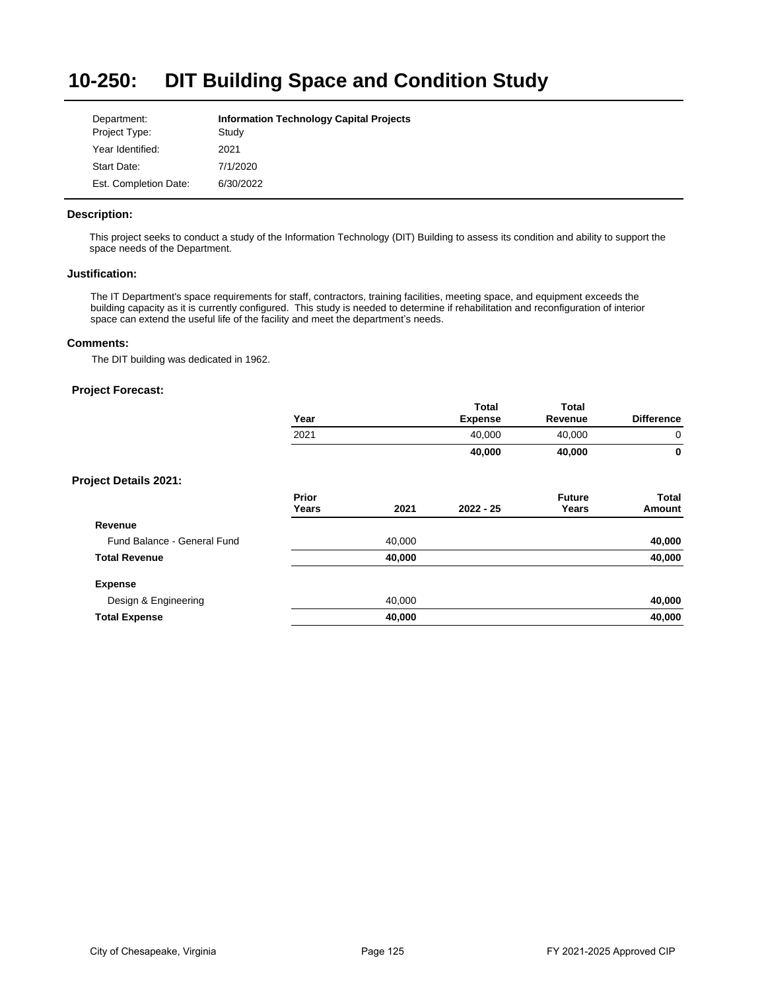### **10-250: DIT Building Space and Condition Study**

| Department:           | <b>Information Technology Capital Projects</b> |
|-----------------------|------------------------------------------------|
| Project Type:         | Study                                          |
| Year Identified:      | 2021                                           |
| Start Date:           | 7/1/2020                                       |
| Est. Completion Date: | 6/30/2022                                      |

# **Description:**

This project seeks to conduct a study of the Information Technology (DIT) Building to assess its condition and ability to support the space needs of the Department.

## **Justification:**

The IT Department's space requirements for staff, contractors, training facilities, meeting space, and equipment exceeds the building capacity as it is currently configured. This study is needed to determine if rehabilitation and reconfiguration of interior space can extend the useful life of the facility and meet the department's needs.

# **Comments:**

The DIT building was dedicated in 1962.

|                             | Year           |        | <b>Total</b><br><b>Expense</b> | <b>Total</b><br>Revenue | <b>Difference</b>      |
|-----------------------------|----------------|--------|--------------------------------|-------------------------|------------------------|
|                             | 2021           |        | 40,000                         | 40,000                  | 0                      |
|                             |                |        | 40,000                         | 40,000                  | 0                      |
| Project Details 2021:       |                |        |                                |                         |                        |
|                             | Prior<br>Years | 2021   | $2022 - 25$                    | <b>Future</b><br>Years  | <b>Total</b><br>Amount |
| Revenue                     |                |        |                                |                         |                        |
| Fund Balance - General Fund |                | 40,000 |                                |                         | 40,000                 |
| <b>Total Revenue</b>        |                | 40,000 |                                |                         | 40,000                 |
| <b>Expense</b>              |                |        |                                |                         |                        |
| Design & Engineering        |                | 40,000 |                                |                         | 40,000                 |
| <b>Total Expense</b>        |                | 40,000 |                                |                         | 40,000                 |
|                             |                |        |                                |                         |                        |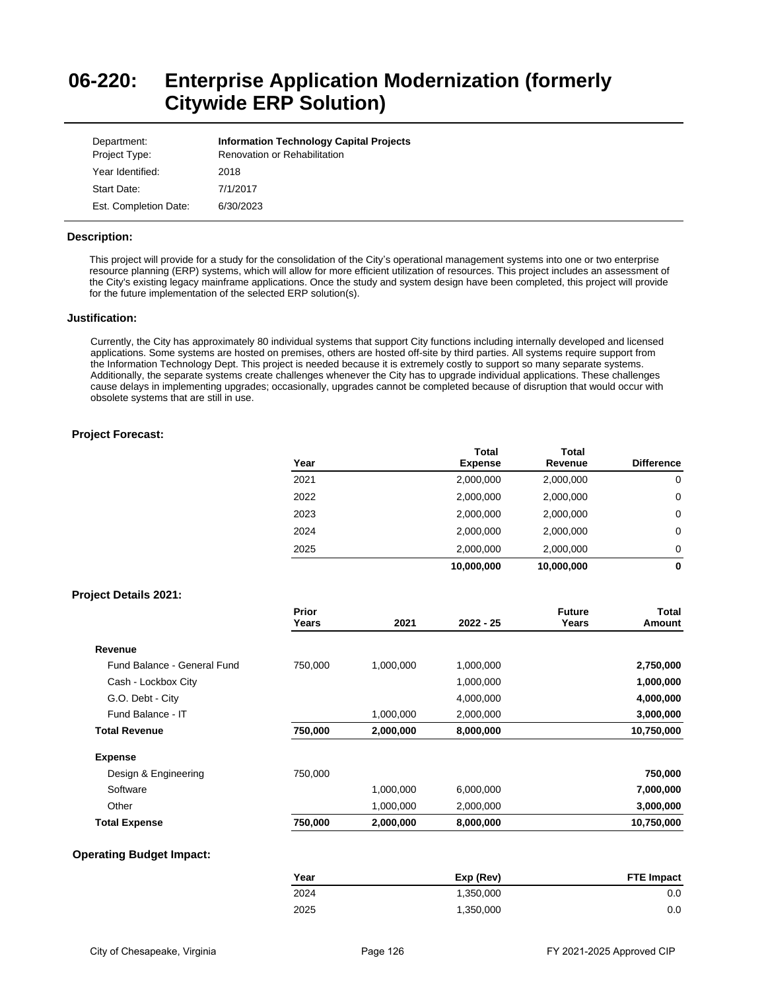# **06-220: Enterprise Application Modernization (formerly Citywide ERP Solution)**

| Department:<br>Project Type: | <b>Information Technology Capital Projects</b><br><b>Renovation or Rehabilitation</b> |
|------------------------------|---------------------------------------------------------------------------------------|
| Year Identified:             | 2018                                                                                  |
| Start Date:                  | 7/1/2017                                                                              |
| Est. Completion Date:        | 6/30/2023                                                                             |

### **Description:**

This project will provide for a study for the consolidation of the City's operational management systems into one or two enterprise resource planning (ERP) systems, which will allow for more efficient utilization of resources. This project includes an assessment of the City's existing legacy mainframe applications. Once the study and system design have been completed, this project will provide for the future implementation of the selected ERP solution(s).

### **Justification:**

Currently, the City has approximately 80 individual systems that support City functions including internally developed and licensed applications. Some systems are hosted on premises, others are hosted off-site by third parties. All systems require support from the Information Technology Dept. This project is needed because it is extremely costly to support so many separate systems. Additionally, the separate systems create challenges whenever the City has to upgrade individual applications. These challenges cause delays in implementing upgrades; occasionally, upgrades cannot be completed because of disruption that would occur with obsolete systems that are still in use.

## **Project Forecast:**

| Year | Total<br><b>Expense</b> | Total<br>Revenue | <b>Difference</b> |
|------|-------------------------|------------------|-------------------|
| 2021 | 2,000,000               | 2,000,000        | 0                 |
| 2022 | 2,000,000               | 2,000,000        | 0                 |
| 2023 | 2,000,000               | 2,000,000        | 0                 |
| 2024 | 2,000,000               | 2,000,000        | 0                 |
| 2025 | 2,000,000               | 2,000,000        | 0                 |
|      | 10,000,000              | 10,000,000       | 0                 |

# **Project Details 2021:**

|                             | Prior<br>Years | 2021      | $2022 - 25$ | <b>Future</b><br>Years | Total<br>Amount |
|-----------------------------|----------------|-----------|-------------|------------------------|-----------------|
| Revenue                     |                |           |             |                        |                 |
| Fund Balance - General Fund | 750,000        | 1,000,000 | 1,000,000   |                        | 2,750,000       |
| Cash - Lockbox City         |                |           | 1,000,000   |                        | 1,000,000       |
| G.O. Debt - City            |                |           | 4,000,000   |                        | 4,000,000       |
| Fund Balance - IT           |                | 1,000,000 | 2,000,000   |                        | 3,000,000       |
| <b>Total Revenue</b>        | 750,000        | 2,000,000 | 8,000,000   |                        | 10,750,000      |
| <b>Expense</b>              |                |           |             |                        |                 |
| Design & Engineering        | 750,000        |           |             |                        | 750,000         |
| Software                    |                | 1,000,000 | 6.000.000   |                        | 7,000,000       |
| Other                       |                | 1,000,000 | 2,000,000   |                        | 3,000,000       |
| <b>Total Expense</b>        | 750,000        | 2,000,000 | 8,000,000   |                        | 10,750,000      |

| Year | Exp (Rev) | <b>FTE Impact</b> |
|------|-----------|-------------------|
| 2024 | 1.350.000 | 0.0               |
| 2025 | 1,350,000 | 0.0               |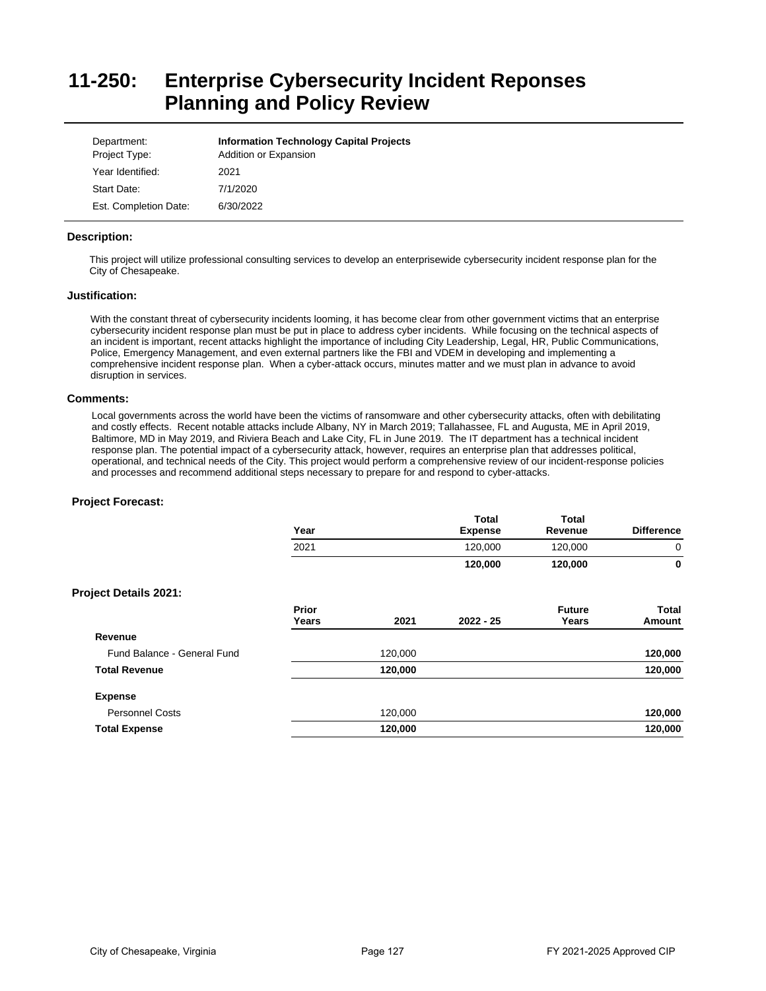# **11-250: Enterprise Cybersecurity Incident Reponses Planning and Policy Review**

| Department:<br>Project Type: | <b>Information Technology Capital Projects</b><br>Addition or Expansion |
|------------------------------|-------------------------------------------------------------------------|
| Year Identified:             | 2021                                                                    |
| Start Date:                  | 7/1/2020                                                                |
| Est. Completion Date:        | 6/30/2022                                                               |

# **Description:**

This project will utilize professional consulting services to develop an enterprisewide cybersecurity incident response plan for the City of Chesapeake.

# **Justification:**

With the constant threat of cybersecurity incidents looming, it has become clear from other government victims that an enterprise cybersecurity incident response plan must be put in place to address cyber incidents. While focusing on the technical aspects of an incident is important, recent attacks highlight the importance of including City Leadership, Legal, HR, Public Communications, Police, Emergency Management, and even external partners like the FBI and VDEM in developing and implementing a comprehensive incident response plan. When a cyber-attack occurs, minutes matter and we must plan in advance to avoid disruption in services.

### **Comments:**

Local governments across the world have been the victims of ransomware and other cybersecurity attacks, often with debilitating and costly effects. Recent notable attacks include Albany, NY in March 2019; Tallahassee, FL and Augusta, ME in April 2019, Baltimore, MD in May 2019, and Riviera Beach and Lake City, FL in June 2019. The IT department has a technical incident response plan. The potential impact of a cybersecurity attack, however, requires an enterprise plan that addresses political, operational, and technical needs of the City. This project would perform a comprehensive review of our incident-response policies and processes and recommend additional steps necessary to prepare for and respond to cyber-attacks.

| Year           |         | <b>Total</b><br><b>Expense</b> | <b>Total</b><br>Revenue | <b>Difference</b> |
|----------------|---------|--------------------------------|-------------------------|-------------------|
| 2021           |         | 120,000                        | 120,000                 | 0                 |
|                |         | 120,000                        | 120,000                 | 0                 |
|                |         |                                |                         |                   |
| Prior<br>Years | 2021    | $2022 - 25$                    | <b>Future</b><br>Years  | Total<br>Amount   |
|                |         |                                |                         |                   |
|                | 120,000 |                                |                         | 120,000           |
|                | 120,000 |                                |                         | 120,000           |
|                |         |                                |                         |                   |
|                | 120,000 |                                |                         | 120,000           |
|                | 120,000 |                                |                         | 120,000           |
|                |         |                                |                         |                   |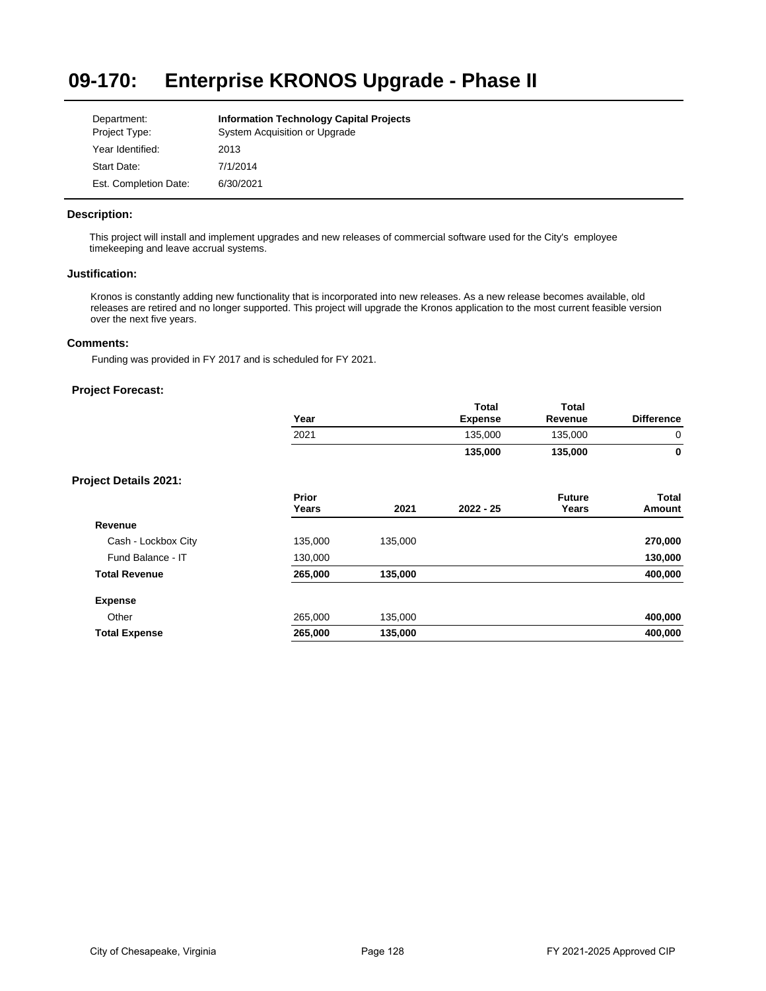### **09-170: Enterprise KRONOS Upgrade - Phase II**

| Department:           | <b>Information Technology Capital Projects</b> |
|-----------------------|------------------------------------------------|
| Project Type:         | System Acquisition or Upgrade                  |
| Year Identified:      | 2013                                           |
| Start Date:           | 7/1/2014                                       |
| Est. Completion Date: | 6/30/2021                                      |

# **Description:**

This project will install and implement upgrades and new releases of commercial software used for the City's employee timekeeping and leave accrual systems.

# **Justification:**

Kronos is constantly adding new functionality that is incorporated into new releases. As a new release becomes available, old releases are retired and no longer supported. This project will upgrade the Kronos application to the most current feasible version over the next five years.

# **Comments:**

Funding was provided in FY 2017 and is scheduled for FY 2021.

|                       | Year           |         | <b>Total</b><br><b>Expense</b> | <b>Total</b><br>Revenue | <b>Difference</b> |
|-----------------------|----------------|---------|--------------------------------|-------------------------|-------------------|
|                       | 2021           |         | 135,000                        | 135,000                 | 0                 |
|                       |                |         | 135,000                        | 135,000                 | 0                 |
| Project Details 2021: |                |         |                                |                         |                   |
|                       | Prior<br>Years | 2021    | $2022 - 25$                    | <b>Future</b><br>Years  | Total<br>Amount   |
| Revenue               |                |         |                                |                         |                   |
| Cash - Lockbox City   | 135,000        | 135,000 |                                |                         | 270,000           |
| Fund Balance - IT     | 130,000        |         |                                |                         | 130,000           |
| <b>Total Revenue</b>  | 265,000        | 135,000 |                                |                         | 400,000           |
| <b>Expense</b>        |                |         |                                |                         |                   |
| Other                 | 265,000        | 135,000 |                                |                         | 400,000           |
| <b>Total Expense</b>  | 265,000        | 135,000 |                                |                         | 400,000           |
|                       |                |         |                                |                         |                   |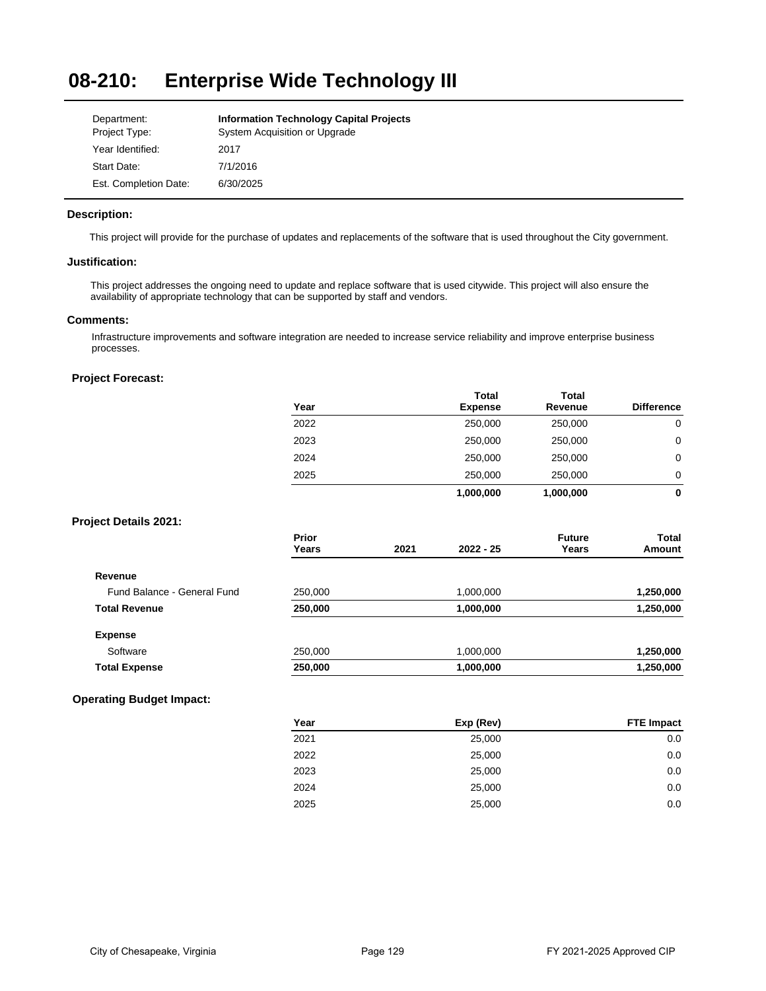#### **08-210: Enterprise Wide Technology III**

| Department:           | <b>Information Technology Capital Projects</b> |
|-----------------------|------------------------------------------------|
| Project Type:         | System Acquisition or Upgrade                  |
| Year Identified:      | 2017                                           |
| Start Date:           | 7/1/2016                                       |
| Est. Completion Date: | 6/30/2025                                      |

# **Description:**

This project will provide for the purchase of updates and replacements of the software that is used throughout the City government.

# **Justification:**

This project addresses the ongoing need to update and replace software that is used citywide. This project will also ensure the availability of appropriate technology that can be supported by staff and vendors.

## **Comments:**

Infrastructure improvements and software integration are needed to increase service reliability and improve enterprise business processes.

# **Project Forecast:**

|                              | Year                  |      | <b>Total</b><br><b>Expense</b> | <b>Total</b><br>Revenue | <b>Difference</b> |
|------------------------------|-----------------------|------|--------------------------------|-------------------------|-------------------|
|                              | 2022                  |      | 250,000                        | 250,000                 | $\mathbf 0$       |
|                              | 2023                  |      | 250,000                        | 250,000                 | 0                 |
|                              | 2024                  |      | 250,000                        | 250,000                 | 0                 |
|                              | 2025                  |      | 250,000                        | 250,000                 | 0                 |
|                              |                       |      | 1,000,000                      | 1,000,000               | $\mathbf 0$       |
| <b>Project Details 2021:</b> |                       |      |                                |                         |                   |
|                              | <b>Prior</b><br>Years | 2021 | 2022 - 25                      | <b>Future</b><br>Years  | Total<br>Amount   |
| Revenue                      |                       |      |                                |                         |                   |
| Fund Balance - General Fund  | 250,000               |      | 1,000,000                      |                         | 1,250,000         |
| <b>Total Revenue</b>         | 250,000               |      | 1,000,000                      |                         | 1,250,000         |
| <b>Expense</b>               |                       |      |                                |                         |                   |
| Software                     | 250,000               |      | 1,000,000                      |                         | 1,250,000         |
| <b>Total Expense</b>         | 250,000               |      | 1,000,000                      |                         | 1,250,000         |

| Year | Exp (Rev) | <b>FTE Impact</b> |
|------|-----------|-------------------|
| 2021 | 25,000    | 0.0               |
| 2022 | 25,000    | 0.0               |
| 2023 | 25,000    | 0.0               |
| 2024 | 25,000    | 0.0               |
| 2025 | 25,000    | 0.0               |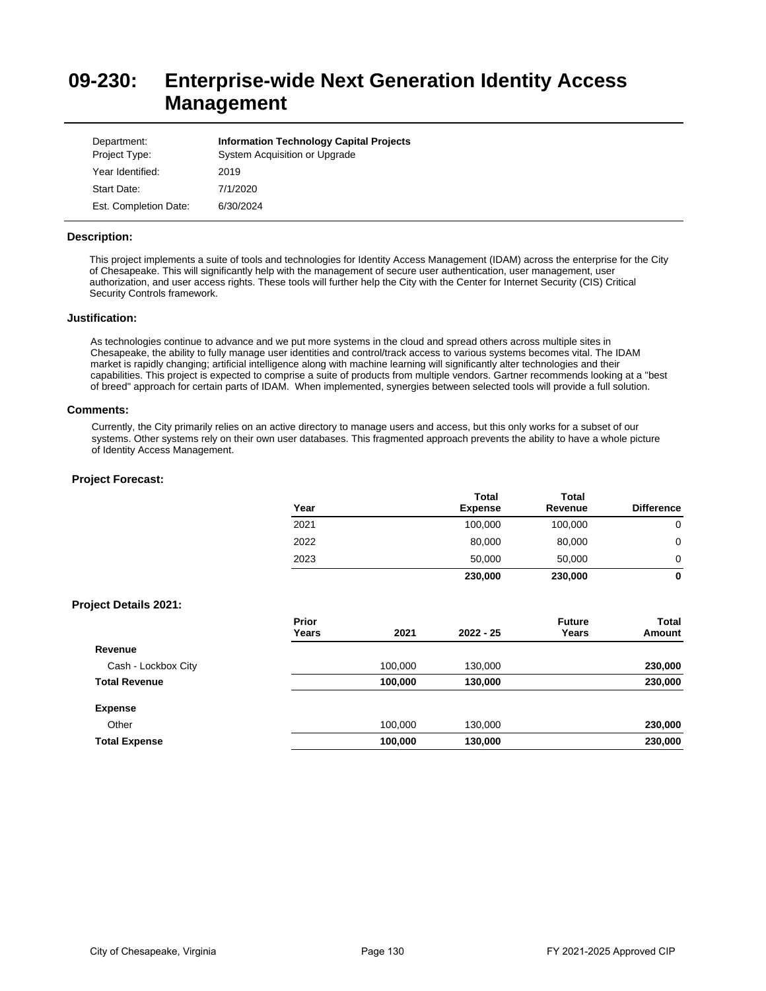# **09-230: Enterprise-wide Next Generation Identity Access Management**

| Department:<br>Project Type: | <b>Information Technology Capital Projects</b><br>System Acquisition or Upgrade |
|------------------------------|---------------------------------------------------------------------------------|
| Year Identified:             | 2019                                                                            |
| Start Date:                  | 7/1/2020                                                                        |
| Est. Completion Date:        | 6/30/2024                                                                       |

## **Description:**

This project implements a suite of tools and technologies for Identity Access Management (IDAM) across the enterprise for the City of Chesapeake. This will significantly help with the management of secure user authentication, user management, user authorization, and user access rights. These tools will further help the City with the Center for Internet Security (CIS) Critical Security Controls framework.

### **Justification:**

As technologies continue to advance and we put more systems in the cloud and spread others across multiple sites in Chesapeake, the ability to fully manage user identities and control/track access to various systems becomes vital. The IDAM market is rapidly changing; artificial intelligence along with machine learning will significantly alter technologies and their capabilities. This project is expected to comprise a suite of products from multiple vendors. Gartner recommends looking at a "best of breed" approach for certain parts of IDAM. When implemented, synergies between selected tools will provide a full solution.

#### **Comments:**

Currently, the City primarily relies on an active directory to manage users and access, but this only works for a subset of our systems. Other systems rely on their own user databases. This fragmented approach prevents the ability to have a whole picture of Identity Access Management.

|                              | Year                  |         | <b>Total</b><br><b>Expense</b> | <b>Total</b><br>Revenue | <b>Difference</b>      |
|------------------------------|-----------------------|---------|--------------------------------|-------------------------|------------------------|
|                              | 2021                  |         | 100,000                        | 100,000                 | $\mathbf 0$            |
|                              | 2022                  |         | 80,000                         | 80,000                  | 0                      |
|                              | 2023                  |         | 50,000                         | 50,000                  | 0                      |
|                              |                       |         | 230,000                        | 230,000                 | 0                      |
| <b>Project Details 2021:</b> |                       |         |                                |                         |                        |
|                              | <b>Prior</b><br>Years | 2021    | 2022 - 25                      | <b>Future</b><br>Years  | <b>Total</b><br>Amount |
| Revenue                      |                       |         |                                |                         |                        |
| Cash - Lockbox City          |                       | 100,000 | 130,000                        |                         | 230,000                |
| <b>Total Revenue</b>         |                       | 100,000 | 130,000                        |                         | 230,000                |
| <b>Expense</b>               |                       |         |                                |                         |                        |
| Other                        |                       | 100,000 | 130,000                        |                         | 230,000                |
| <b>Total Expense</b>         |                       | 100,000 | 130,000                        |                         | 230,000                |
|                              |                       |         |                                |                         |                        |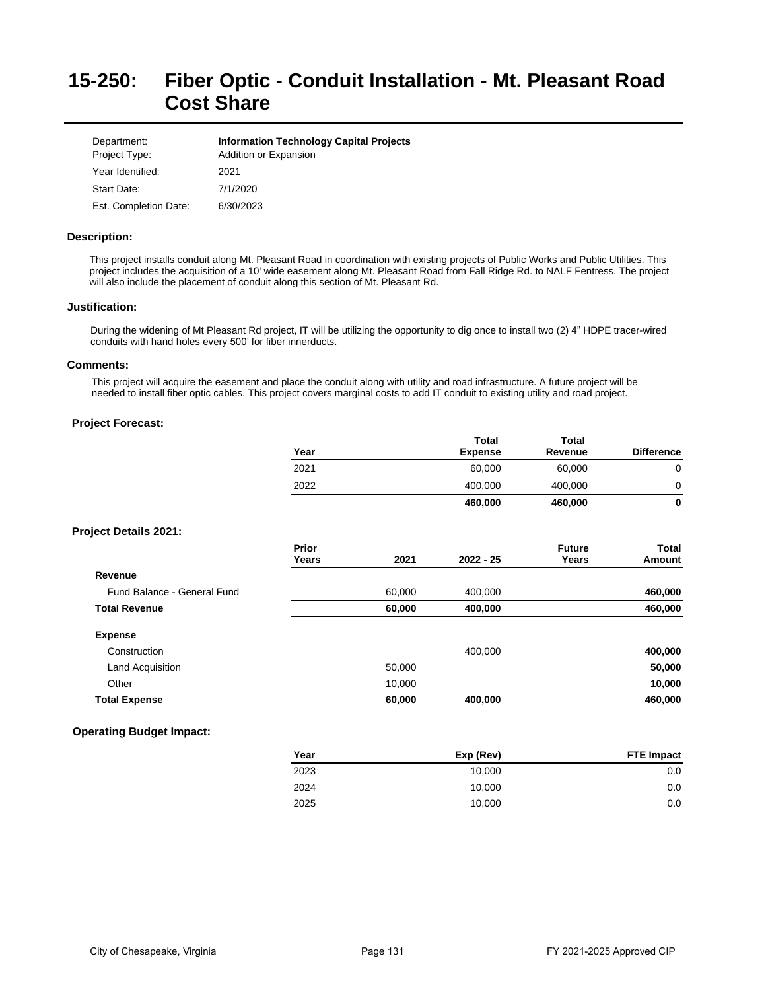# **15-250: Fiber Optic - Conduit Installation - Mt. Pleasant Road Cost Share**

| Department:<br>Project Type: | <b>Information Technology Capital Projects</b><br>Addition or Expansion |
|------------------------------|-------------------------------------------------------------------------|
| Year Identified:             | 2021                                                                    |
| Start Date:                  | 7/1/2020                                                                |
| Est. Completion Date:        | 6/30/2023                                                               |

# **Description:**

This project installs conduit along Mt. Pleasant Road in coordination with existing projects of Public Works and Public Utilities. This project includes the acquisition of a 10' wide easement along Mt. Pleasant Road from Fall Ridge Rd. to NALF Fentress. The project will also include the placement of conduit along this section of Mt. Pleasant Rd.

### **Justification:**

During the widening of Mt Pleasant Rd project, IT will be utilizing the opportunity to dig once to install two (2) 4" HDPE tracer-wired conduits with hand holes every 500' for fiber innerducts.

# **Comments:**

This project will acquire the easement and place the conduit along with utility and road infrastructure. A future project will be needed to install fiber optic cables. This project covers marginal costs to add IT conduit to existing utility and road project.

# **Project Forecast:**

|                              | Year           |        | <b>Total</b><br><b>Expense</b> | <b>Total</b><br>Revenue | <b>Difference</b>      |
|------------------------------|----------------|--------|--------------------------------|-------------------------|------------------------|
|                              | 2021           |        | 60,000                         | 60,000                  | $\mathbf 0$            |
|                              | 2022           |        | 400,000                        | 400,000                 | 0                      |
|                              |                |        | 460,000                        | 460,000                 | $\mathbf 0$            |
| <b>Project Details 2021:</b> |                |        |                                |                         |                        |
|                              | Prior<br>Years | 2021   | $2022 - 25$                    | <b>Future</b><br>Years  | <b>Total</b><br>Amount |
| Revenue                      |                |        |                                |                         |                        |
| Fund Balance - General Fund  |                | 60,000 | 400,000                        |                         | 460,000                |
| <b>Total Revenue</b>         |                | 60,000 | 400,000                        |                         | 460,000                |
| <b>Expense</b>               |                |        |                                |                         |                        |
| Construction                 |                |        | 400,000                        |                         | 400,000                |
| Land Acquisition             |                | 50,000 |                                |                         | 50,000                 |
| Other                        |                | 10,000 |                                |                         | 10,000                 |
| <b>Total Expense</b>         |                | 60,000 | 400,000                        |                         | 460,000                |

| Year | Exp (Rev) | <b>FTE Impact</b> |
|------|-----------|-------------------|
| 2023 | 10.000    | 0.0               |
| 2024 | 10.000    | 0.0               |
| 2025 | 10,000    | 0.0               |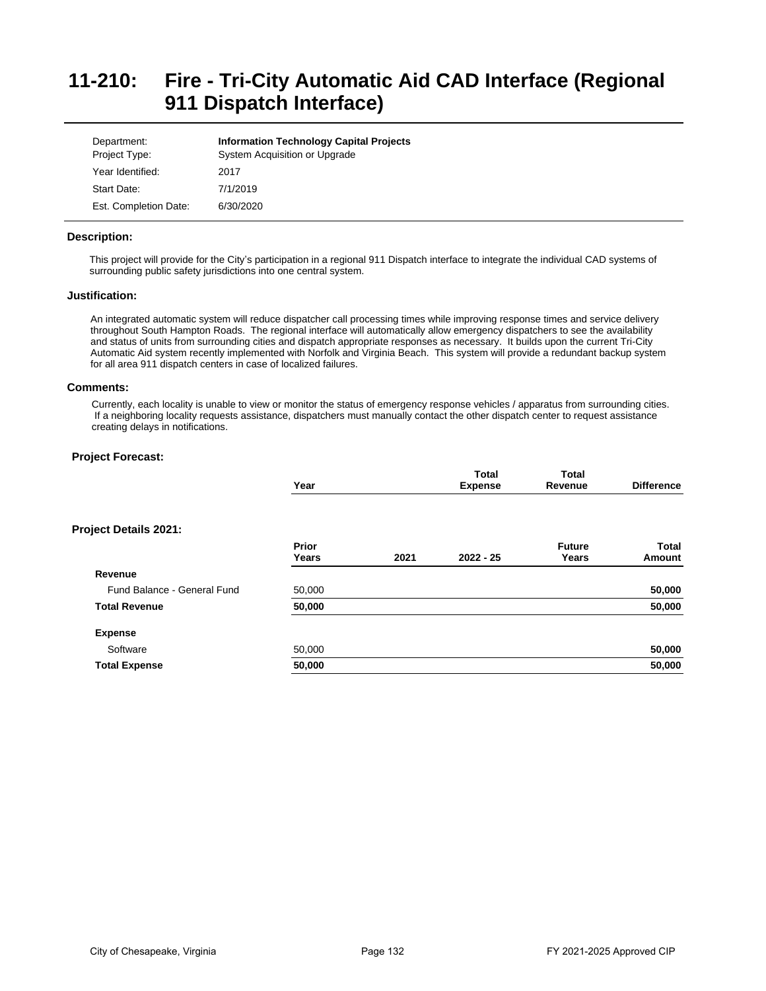# **11-210: Fire - Tri-City Automatic Aid CAD Interface (Regional 911 Dispatch Interface)**

| Department:<br>Project Type: | <b>Information Technology Capital Projects</b><br>System Acquisition or Upgrade |
|------------------------------|---------------------------------------------------------------------------------|
| Year Identified:             | 2017                                                                            |
| Start Date:                  | 7/1/2019                                                                        |
| Est. Completion Date:        | 6/30/2020                                                                       |

## **Description:**

This project will provide for the City's participation in a regional 911 Dispatch interface to integrate the individual CAD systems of surrounding public safety jurisdictions into one central system.

# **Justification:**

An integrated automatic system will reduce dispatcher call processing times while improving response times and service delivery throughout South Hampton Roads. The regional interface will automatically allow emergency dispatchers to see the availability and status of units from surrounding cities and dispatch appropriate responses as necessary. It builds upon the current Tri-City Automatic Aid system recently implemented with Norfolk and Virginia Beach. This system will provide a redundant backup system for all area 911 dispatch centers in case of localized failures.

## **Comments:**

Currently, each locality is unable to view or monitor the status of emergency response vehicles / apparatus from surrounding cities. If a neighboring locality requests assistance, dispatchers must manually contact the other dispatch center to request assistance creating delays in notifications.

|                             | Year   |      | <b>Total</b><br><b>Expense</b> | <b>Total</b><br>Revenue | <b>Difference</b> |
|-----------------------------|--------|------|--------------------------------|-------------------------|-------------------|
| Project Details 2021:       |        |      |                                |                         |                   |
|                             | Prior  |      |                                | <b>Future</b>           | Total             |
|                             | Years  | 2021 | $2022 - 25$                    | Years                   | Amount            |
| Revenue                     |        |      |                                |                         |                   |
| Fund Balance - General Fund | 50,000 |      |                                |                         | 50,000            |
| <b>Total Revenue</b>        | 50,000 |      |                                |                         | 50,000            |
| <b>Expense</b>              |        |      |                                |                         |                   |
| Software                    | 50,000 |      |                                |                         | 50,000            |
| <b>Total Expense</b>        | 50,000 |      |                                |                         | 50,000            |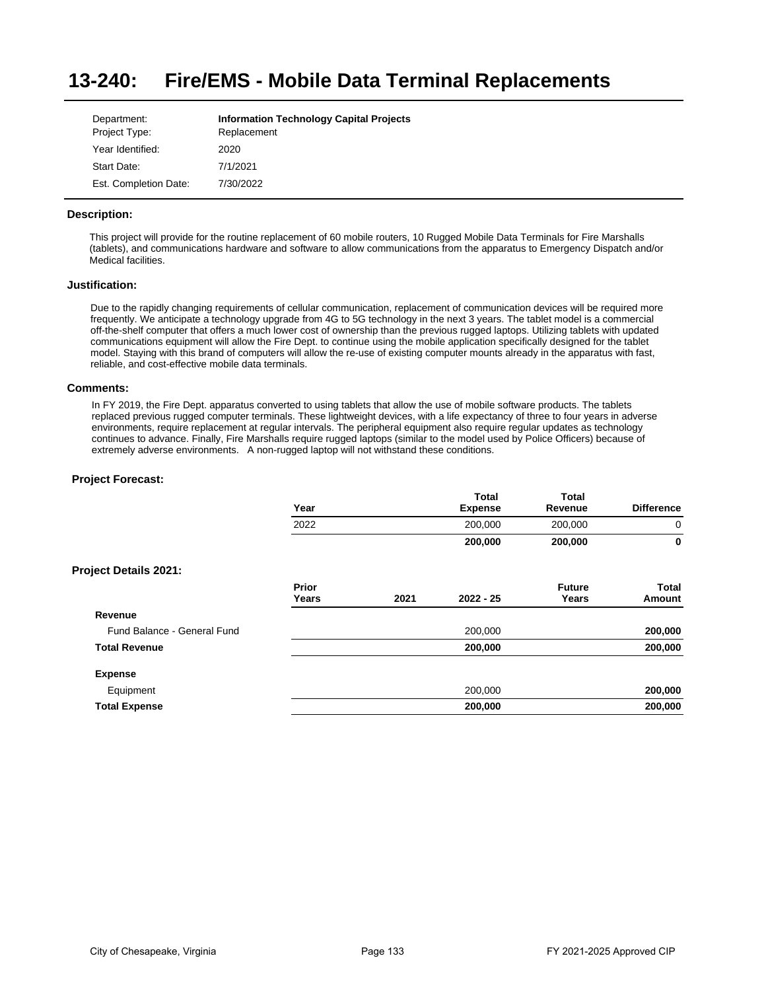#### **13-240: Fire/EMS - Mobile Data Terminal Replacements**

| Department:           | <b>Information Technology Capital Projects</b> |
|-----------------------|------------------------------------------------|
| Project Type:         | Replacement                                    |
| Year Identified:      | 2020                                           |
| Start Date:           | 7/1/2021                                       |
| Est. Completion Date: | 7/30/2022                                      |

# **Description:**

This project will provide for the routine replacement of 60 mobile routers, 10 Rugged Mobile Data Terminals for Fire Marshalls (tablets), and communications hardware and software to allow communications from the apparatus to Emergency Dispatch and/or Medical facilities.

# **Justification:**

Due to the rapidly changing requirements of cellular communication, replacement of communication devices will be required more frequently. We anticipate a technology upgrade from 4G to 5G technology in the next 3 years. The tablet model is a commercial off-the-shelf computer that offers a much lower cost of ownership than the previous rugged laptops. Utilizing tablets with updated communications equipment will allow the Fire Dept. to continue using the mobile application specifically designed for the tablet model. Staying with this brand of computers will allow the re-use of existing computer mounts already in the apparatus with fast, reliable, and cost-effective mobile data terminals.

### **Comments:**

In FY 2019, the Fire Dept. apparatus converted to using tablets that allow the use of mobile software products. The tablets replaced previous rugged computer terminals. These lightweight devices, with a life expectancy of three to four years in adverse environments, require replacement at regular intervals. The peripheral equipment also require regular updates as technology continues to advance. Finally, Fire Marshalls require rugged laptops (similar to the model used by Police Officers) because of extremely adverse environments. A non-rugged laptop will not withstand these conditions.

|                              | Year           |      | <b>Total</b><br><b>Expense</b> | <b>Total</b><br>Revenue | <b>Difference</b>      |
|------------------------------|----------------|------|--------------------------------|-------------------------|------------------------|
|                              | 2022           |      | 200,000                        | 200,000                 | 0                      |
|                              |                |      | 200,000                        | 200,000                 | 0                      |
| <b>Project Details 2021:</b> |                |      |                                |                         |                        |
|                              | Prior<br>Years | 2021 | $2022 - 25$                    | <b>Future</b><br>Years  | <b>Total</b><br>Amount |
| Revenue                      |                |      |                                |                         |                        |
| Fund Balance - General Fund  |                |      | 200,000                        |                         | 200,000                |
| <b>Total Revenue</b>         |                |      | 200,000                        |                         | 200,000                |
| <b>Expense</b>               |                |      |                                |                         |                        |
| Equipment                    |                |      | 200,000                        |                         | 200,000                |
| <b>Total Expense</b>         |                |      | 200,000                        |                         | 200,000                |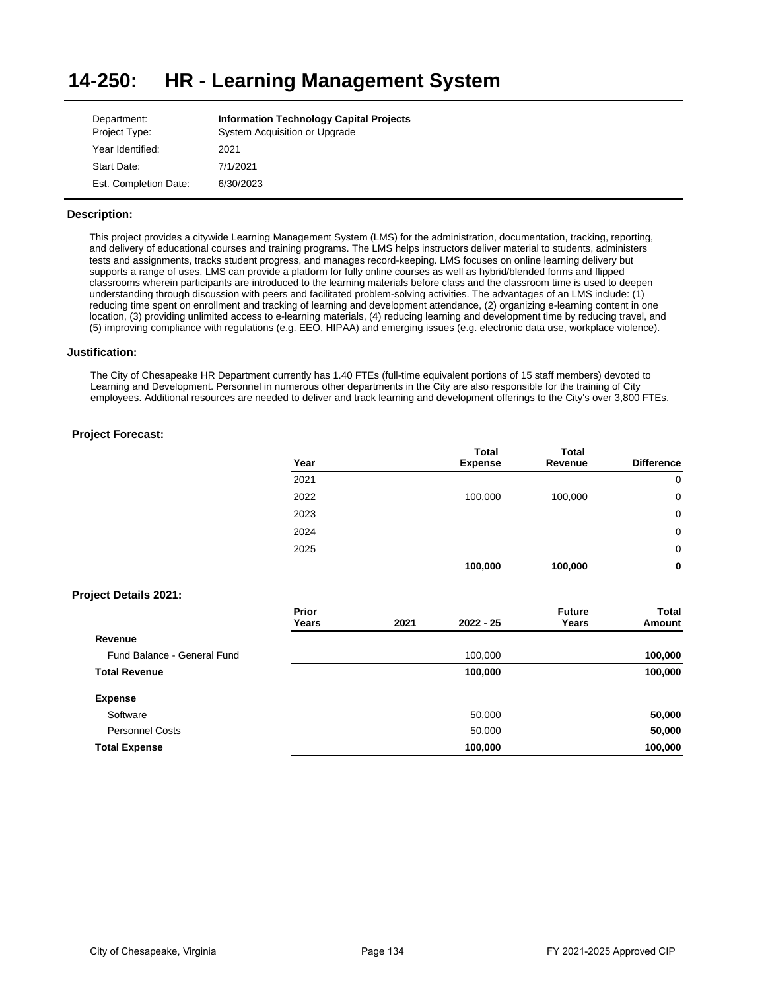#### **14-250: HR - Learning Management System**

| Department:           | <b>Information Technology Capital Projects</b> |
|-----------------------|------------------------------------------------|
| Project Type:         | System Acquisition or Upgrade                  |
| Year Identified:      | 2021                                           |
| Start Date:           | 7/1/2021                                       |
| Est. Completion Date: | 6/30/2023                                      |

# **Description:**

This project provides a citywide Learning Management System (LMS) for the administration, documentation, tracking, reporting, and delivery of educational courses and training programs. The LMS helps instructors deliver material to students, administers tests and assignments, tracks student progress, and manages record-keeping. LMS focuses on online learning delivery but supports a range of uses. LMS can provide a platform for fully online courses as well as hybrid/blended forms and flipped classrooms wherein participants are introduced to the learning materials before class and the classroom time is used to deepen understanding through discussion with peers and facilitated problem-solving activities. The advantages of an LMS include: (1) reducing time spent on enrollment and tracking of learning and development attendance, (2) organizing e-learning content in one location, (3) providing unlimited access to e-learning materials, (4) reducing learning and development time by reducing travel, and (5) improving compliance with regulations (e.g. EEO, HIPAA) and emerging issues (e.g. electronic data use, workplace violence).

### **Justification:**

The City of Chesapeake HR Department currently has 1.40 FTEs (full-time equivalent portions of 15 staff members) devoted to Learning and Development. Personnel in numerous other departments in the City are also responsible for the training of City employees. Additional resources are needed to deliver and track learning and development offerings to the City's over 3,800 FTEs.

# **Project Forecast:**

| Year | <b>Total</b><br><b>Expense</b> | <b>Total</b><br>Revenue | <b>Difference</b> |
|------|--------------------------------|-------------------------|-------------------|
| 2021 |                                |                         | 0                 |
| 2022 | 100,000                        | 100,000                 | 0                 |
| 2023 |                                |                         | 0                 |
| 2024 |                                |                         | 0                 |
| 2025 |                                |                         | 0                 |
|      | 100,000                        | 100,000                 | 0                 |

# **Project Details 2021:**

|                             | <b>Prior</b><br>Years | 2021 | $2022 - 25$ | <b>Future</b><br>Years | Total<br>Amount |
|-----------------------------|-----------------------|------|-------------|------------------------|-----------------|
| Revenue                     |                       |      |             |                        |                 |
| Fund Balance - General Fund |                       |      | 100,000     |                        | 100,000         |
| <b>Total Revenue</b>        |                       |      | 100,000     |                        | 100,000         |
| <b>Expense</b>              |                       |      |             |                        |                 |
| Software                    |                       |      | 50,000      |                        | 50,000          |
| <b>Personnel Costs</b>      |                       |      | 50,000      |                        | 50,000          |
| <b>Total Expense</b>        |                       |      | 100,000     |                        | 100,000         |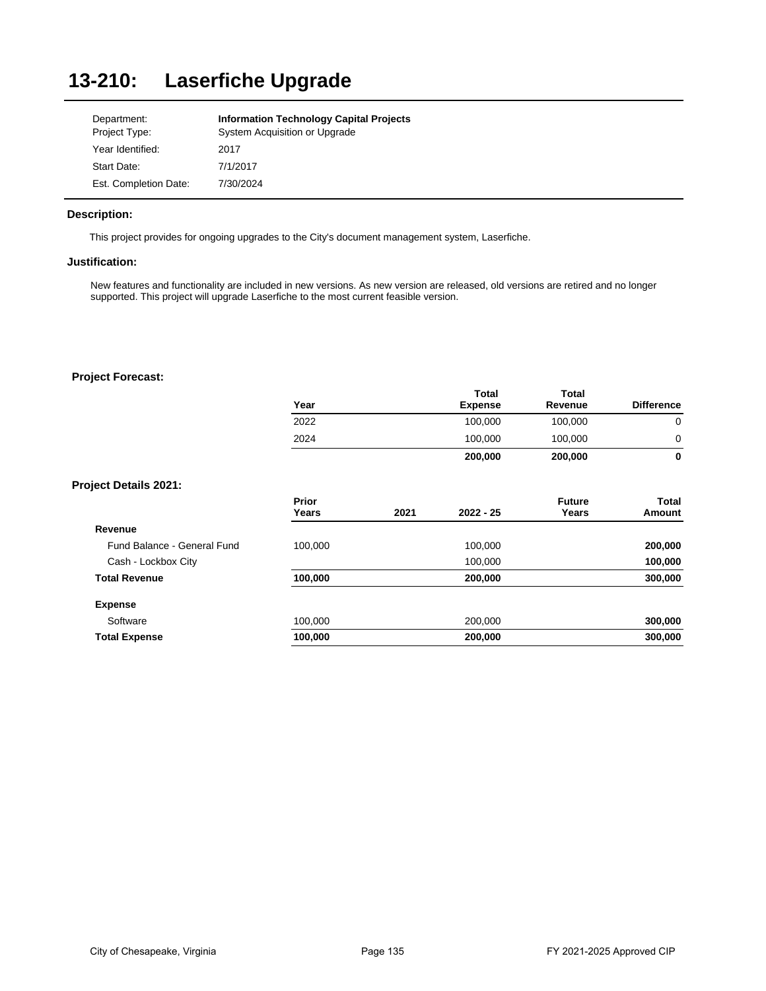# **13-210: Laserfiche Upgrade**

| Department:           | <b>Information Technology Capital Projects</b> |
|-----------------------|------------------------------------------------|
| Project Type:         | System Acquisition or Upgrade                  |
| Year Identified:      | 2017                                           |
| Start Date:           | 7/1/2017                                       |
| Est. Completion Date: | 7/30/2024                                      |

# **Description:**

This project provides for ongoing upgrades to the City's document management system, Laserfiche.

# **Justification:**

New features and functionality are included in new versions. As new version are released, old versions are retired and no longer supported. This project will upgrade Laserfiche to the most current feasible version.

|                              | Year           |      | Total<br><b>Expense</b> | <b>Total</b><br>Revenue | <b>Difference</b>      |
|------------------------------|----------------|------|-------------------------|-------------------------|------------------------|
|                              | 2022           |      | 100,000                 | 100,000                 | $\mathbf 0$            |
|                              | 2024           |      | 100,000                 | 100,000                 | 0                      |
|                              |                |      | 200,000                 | 200,000                 | $\mathbf 0$            |
| <b>Project Details 2021:</b> |                |      |                         |                         |                        |
|                              | Prior<br>Years | 2021 | $2022 - 25$             | <b>Future</b><br>Years  | <b>Total</b><br>Amount |
| Revenue                      |                |      |                         |                         |                        |
| Fund Balance - General Fund  | 100,000        |      | 100,000                 |                         | 200,000                |
| Cash - Lockbox City          |                |      | 100,000                 |                         | 100,000                |
| <b>Total Revenue</b>         | 100,000        |      | 200,000                 |                         | 300,000                |
| <b>Expense</b>               |                |      |                         |                         |                        |
| Software                     | 100,000        |      | 200,000                 |                         | 300,000                |
| <b>Total Expense</b>         | 100,000        |      | 200,000                 |                         | 300,000                |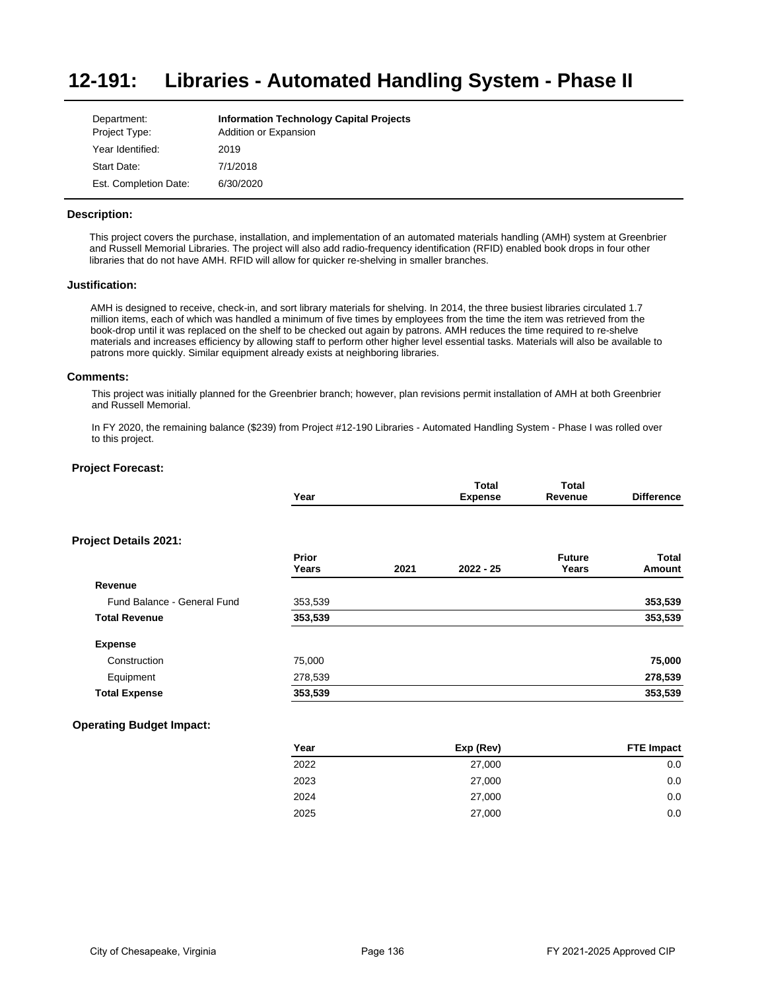#### **12-191: Libraries - Automated Handling System - Phase II**

| Department:<br>Project Type: | <b>Information Technology Capital Projects</b><br>Addition or Expansion |
|------------------------------|-------------------------------------------------------------------------|
| Year Identified:             | 2019                                                                    |
| Start Date:                  | 7/1/2018                                                                |
| Est. Completion Date:        | 6/30/2020                                                               |

# **Description:**

This project covers the purchase, installation, and implementation of an automated materials handling (AMH) system at Greenbrier and Russell Memorial Libraries. The project will also add radio-frequency identification (RFID) enabled book drops in four other libraries that do not have AMH. RFID will allow for quicker re-shelving in smaller branches.

#### **Justification:**

AMH is designed to receive, check-in, and sort library materials for shelving. In 2014, the three busiest libraries circulated 1.7 million items, each of which was handled a minimum of five times by employees from the time the item was retrieved from the book-drop until it was replaced on the shelf to be checked out again by patrons. AMH reduces the time required to re-shelve materials and increases efficiency by allowing staff to perform other higher level essential tasks. Materials will also be available to patrons more quickly. Similar equipment already exists at neighboring libraries.

### **Comments:**

This project was initially planned for the Greenbrier branch; however, plan revisions permit installation of AMH at both Greenbrier and Russell Memorial.

In FY 2020, the remaining balance (\$239) from Project #12-190 Libraries - Automated Handling System - Phase I was rolled over to this project.

# **Project Forecast:**

|                             | Year           |      | <b>Total</b><br><b>Expense</b> | <b>Total</b><br>Revenue | <b>Difference</b> |
|-----------------------------|----------------|------|--------------------------------|-------------------------|-------------------|
| Project Details 2021:       |                |      |                                |                         |                   |
|                             | Prior<br>Years | 2021 | $2022 - 25$                    | <b>Future</b><br>Years  | Total<br>Amount   |
| Revenue                     |                |      |                                |                         |                   |
| Fund Balance - General Fund | 353,539        |      |                                |                         | 353,539           |
| <b>Total Revenue</b>        | 353,539        |      |                                |                         | 353,539           |
| <b>Expense</b>              |                |      |                                |                         |                   |
| Construction                | 75,000         |      |                                |                         | 75,000            |
| Equipment                   | 278,539        |      |                                |                         | 278,539           |
| <b>Total Expense</b>        | 353,539        |      |                                |                         | 353,539           |

| Year | Exp (Rev) | <b>FTE Impact</b> |
|------|-----------|-------------------|
| 2022 | 27,000    | 0.0               |
| 2023 | 27,000    | 0.0               |
| 2024 | 27,000    | 0.0               |
| 2025 | 27,000    | 0.0               |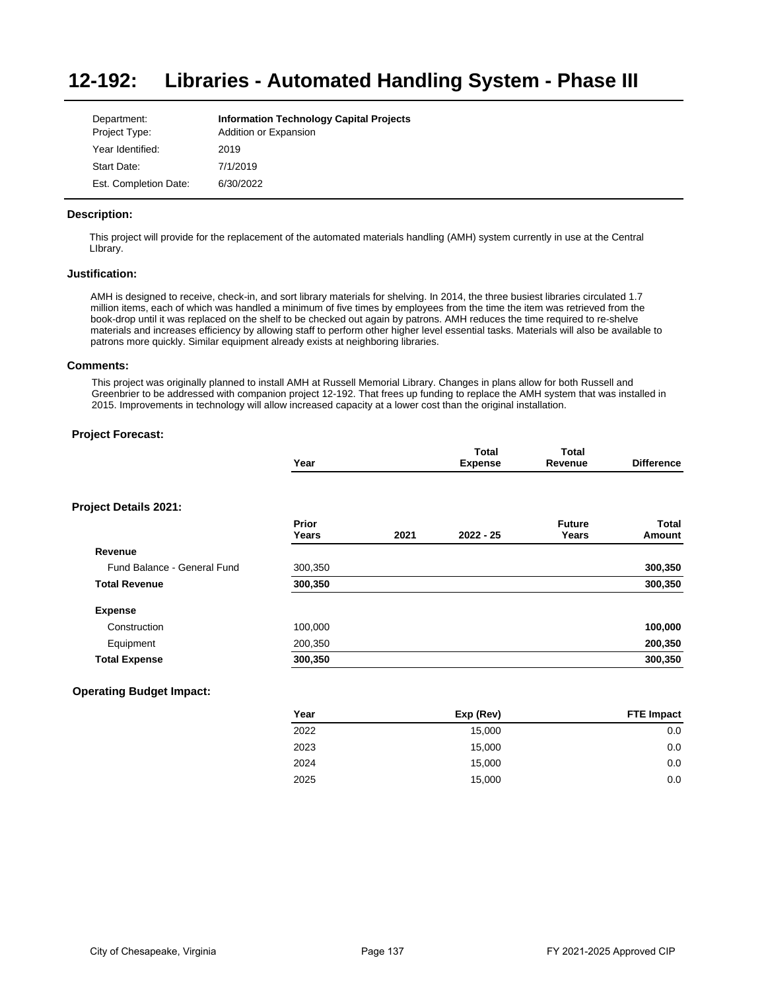#### **12-192: Libraries - Automated Handling System - Phase III**

| Department:           | <b>Information Technology Capital Projects</b> |
|-----------------------|------------------------------------------------|
| Project Type:         | Addition or Expansion                          |
| Year Identified:      | 2019                                           |
| Start Date:           | 7/1/2019                                       |
| Est. Completion Date: | 6/30/2022                                      |

# **Description:**

This project will provide for the replacement of the automated materials handling (AMH) system currently in use at the Central LIbrary.

## **Justification:**

AMH is designed to receive, check-in, and sort library materials for shelving. In 2014, the three busiest libraries circulated 1.7 million items, each of which was handled a minimum of five times by employees from the time the item was retrieved from the book-drop until it was replaced on the shelf to be checked out again by patrons. AMH reduces the time required to re-shelve materials and increases efficiency by allowing staff to perform other higher level essential tasks. Materials will also be available to patrons more quickly. Similar equipment already exists at neighboring libraries.

# **Comments:**

This project was originally planned to install AMH at Russell Memorial Library. Changes in plans allow for both Russell and Greenbrier to be addressed with companion project 12-192. That frees up funding to replace the AMH system that was installed in 2015. Improvements in technology will allow increased capacity at a lower cost than the original installation.

# **Project Forecast:**

|                              | Year           |      | Total<br><b>Expense</b> | Total<br>Revenue       | <b>Difference</b>      |
|------------------------------|----------------|------|-------------------------|------------------------|------------------------|
| <b>Project Details 2021:</b> |                |      |                         |                        |                        |
|                              | Prior<br>Years | 2021 | $2022 - 25$             | <b>Future</b><br>Years | <b>Total</b><br>Amount |
| Revenue                      |                |      |                         |                        |                        |
| Fund Balance - General Fund  | 300,350        |      |                         |                        | 300,350                |
| <b>Total Revenue</b>         | 300,350        |      |                         |                        | 300,350                |
| <b>Expense</b>               |                |      |                         |                        |                        |
| Construction                 | 100,000        |      |                         |                        | 100,000                |
| Equipment                    | 200,350        |      |                         |                        | 200,350                |
| <b>Total Expense</b>         | 300,350        |      |                         |                        | 300,350                |
|                              |                |      |                         |                        |                        |

| Year | Exp (Rev) | <b>FTE Impact</b> |
|------|-----------|-------------------|
| 2022 | 15,000    | 0.0               |
| 2023 | 15,000    | 0.0               |
| 2024 | 15,000    | 0.0               |
| 2025 | 15,000    | 0.0               |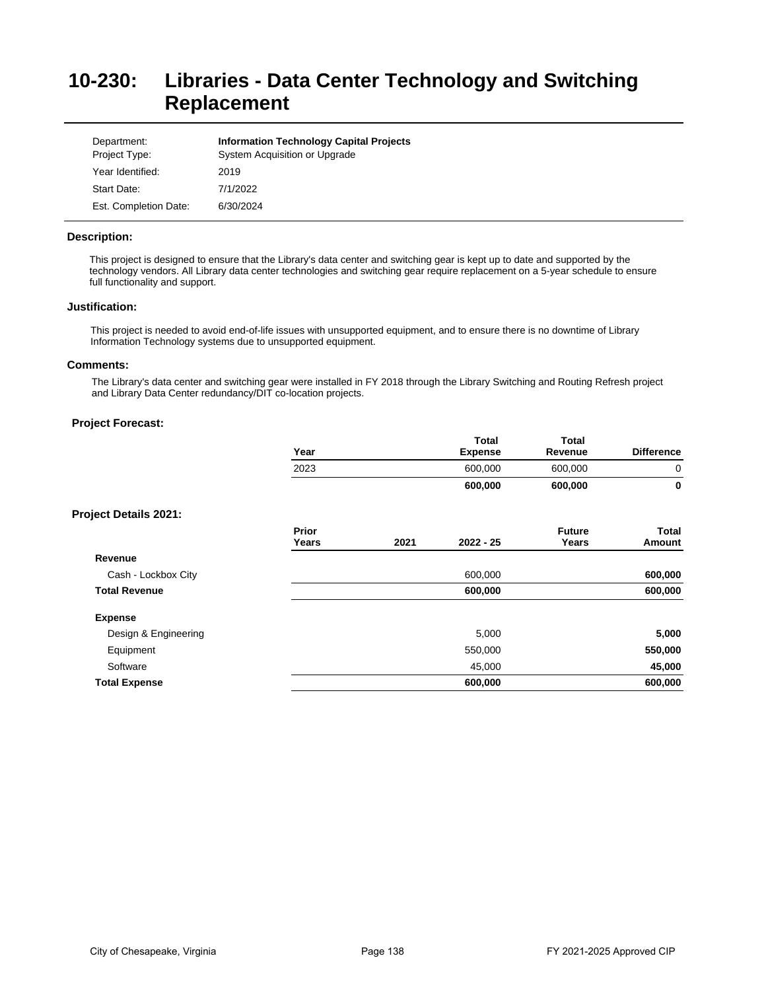# **10-230: Libraries - Data Center Technology and Switching Replacement**

| Department:<br>Project Type: | <b>Information Technology Capital Projects</b><br>System Acquisition or Upgrade |
|------------------------------|---------------------------------------------------------------------------------|
| Year Identified:             | 2019                                                                            |
| Start Date:                  | 7/1/2022                                                                        |
| Est. Completion Date:        | 6/30/2024                                                                       |

# **Description:**

This project is designed to ensure that the Library's data center and switching gear is kept up to date and supported by the technology vendors. All Library data center technologies and switching gear require replacement on a 5-year schedule to ensure full functionality and support.

## **Justification:**

This project is needed to avoid end-of-life issues with unsupported equipment, and to ensure there is no downtime of Library Information Technology systems due to unsupported equipment.

# **Comments:**

The Library's data center and switching gear were installed in FY 2018 through the Library Switching and Routing Refresh project and Library Data Center redundancy/DIT co-location projects.

|                              | Year           |      | <b>Total</b><br><b>Expense</b> | <b>Total</b><br>Revenue | <b>Difference</b> |
|------------------------------|----------------|------|--------------------------------|-------------------------|-------------------|
|                              | 2023           |      | 600,000                        | 600,000                 | 0                 |
|                              |                |      | 600,000                        | 600,000                 | $\mathbf 0$       |
| <b>Project Details 2021:</b> |                |      |                                |                         |                   |
|                              | Prior<br>Years | 2021 | $2022 - 25$                    | <b>Future</b><br>Years  | Total<br>Amount   |
| Revenue                      |                |      |                                |                         |                   |
| Cash - Lockbox City          |                |      | 600,000                        |                         | 600,000           |
| <b>Total Revenue</b>         |                |      | 600,000                        |                         | 600,000           |
| <b>Expense</b>               |                |      |                                |                         |                   |
| Design & Engineering         |                |      | 5,000                          |                         | 5,000             |
| Equipment                    |                |      | 550,000                        |                         | 550,000           |
| Software                     |                |      | 45,000                         |                         | 45,000            |
| <b>Total Expense</b>         |                |      | 600,000                        |                         | 600,000           |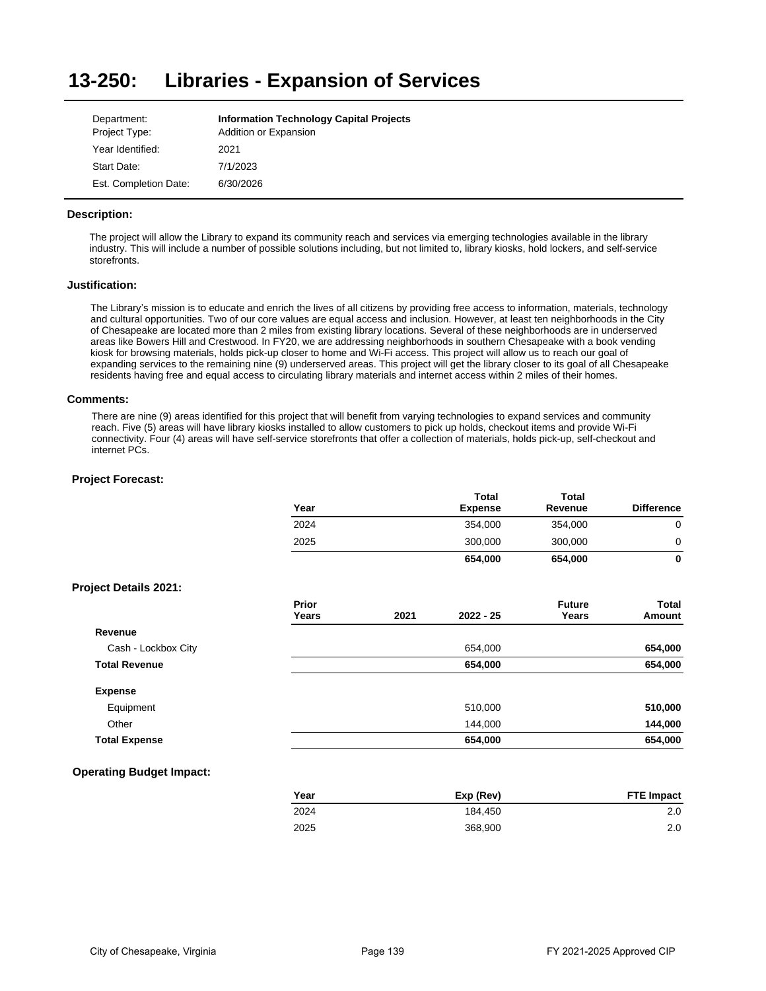#### **13-250: Libraries - Expansion of Services**

| Department:           | <b>Information Technology Capital Projects</b> |
|-----------------------|------------------------------------------------|
| Project Type:         | Addition or Expansion                          |
| Year Identified:      | 2021                                           |
| Start Date:           | 7/1/2023                                       |
| Est. Completion Date: | 6/30/2026                                      |

# **Description:**

The project will allow the Library to expand its community reach and services via emerging technologies available in the library industry. This will include a number of possible solutions including, but not limited to, library kiosks, hold lockers, and self-service storefronts.

# **Justification:**

The Library's mission is to educate and enrich the lives of all citizens by providing free access to information, materials, technology and cultural opportunities. Two of our core values are equal access and inclusion. However, at least ten neighborhoods in the City of Chesapeake are located more than 2 miles from existing library locations. Several of these neighborhoods are in underserved areas like Bowers Hill and Crestwood. In FY20, we are addressing neighborhoods in southern Chesapeake with a book vending kiosk for browsing materials, holds pick-up closer to home and Wi-Fi access. This project will allow us to reach our goal of expanding services to the remaining nine (9) underserved areas. This project will get the library closer to its goal of all Chesapeake residents having free and equal access to circulating library materials and internet access within 2 miles of their homes.

# **Comments:**

There are nine (9) areas identified for this project that will benefit from varying technologies to expand services and community reach. Five (5) areas will have library kiosks installed to allow customers to pick up holds, checkout items and provide Wi-Fi connectivity. Four (4) areas will have self-service storefronts that offer a collection of materials, holds pick-up, self-checkout and internet PCs.

# **Project Forecast:**

|                              | Year                  |      | <b>Total</b><br><b>Expense</b> | <b>Total</b><br>Revenue | <b>Difference</b> |
|------------------------------|-----------------------|------|--------------------------------|-------------------------|-------------------|
|                              | 2024                  |      | 354,000                        | 354,000                 | 0                 |
|                              | 2025                  |      | 300,000                        | 300,000                 | 0                 |
|                              |                       |      | 654,000                        | 654,000                 | 0                 |
| <b>Project Details 2021:</b> |                       |      |                                |                         |                   |
|                              | <b>Prior</b><br>Years | 2021 | $2022 - 25$                    | <b>Future</b><br>Years  | Total<br>Amount   |
| Revenue                      |                       |      |                                |                         |                   |
| Cash - Lockbox City          |                       |      | 654,000                        |                         | 654,000           |
| <b>Total Revenue</b>         |                       |      | 654,000                        |                         | 654,000           |
| <b>Expense</b>               |                       |      |                                |                         |                   |
| Equipment                    |                       |      | 510,000                        |                         | 510,000           |
| Other                        |                       |      | 144,000                        |                         | 144,000           |
| <b>Total Expense</b>         |                       |      | 654,000                        |                         | 654,000           |
|                              |                       |      |                                |                         |                   |

| Year | Exp (Rev) | <b>FTE Impact</b> |
|------|-----------|-------------------|
| 2024 | 184.450   | 2.0               |
| 2025 | 368,900   | 2.0               |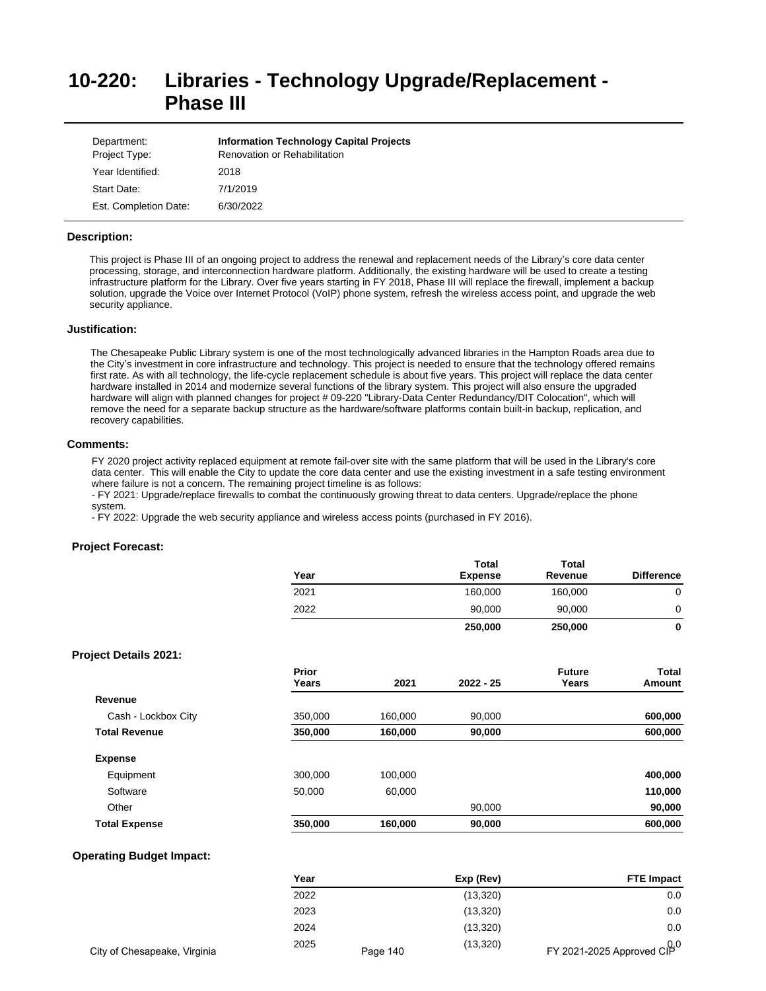# **10-220: Libraries - Technology Upgrade/Replacement - Phase III**

| Department:<br>Project Type: | <b>Information Technology Capital Projects</b><br><b>Renovation or Rehabilitation</b> |
|------------------------------|---------------------------------------------------------------------------------------|
| Year Identified:             | 2018                                                                                  |
| Start Date:                  | 7/1/2019                                                                              |
| Est. Completion Date:        | 6/30/2022                                                                             |

### **Description:**

This project is Phase III of an ongoing project to address the renewal and replacement needs of the Library's core data center processing, storage, and interconnection hardware platform. Additionally, the existing hardware will be used to create a testing infrastructure platform for the Library. Over five years starting in FY 2018, Phase III will replace the firewall, implement a backup solution, upgrade the Voice over Internet Protocol (VoIP) phone system, refresh the wireless access point, and upgrade the web security appliance.

# **Justification:**

The Chesapeake Public Library system is one of the most technologically advanced libraries in the Hampton Roads area due to the City's investment in core infrastructure and technology. This project is needed to ensure that the technology offered remains first rate. As with all technology, the life-cycle replacement schedule is about five years. This project will replace the data center hardware installed in 2014 and modernize several functions of the library system. This project will also ensure the upgraded hardware will align with planned changes for project # 09-220 "Library-Data Center Redundancy/DIT Colocation", which will remove the need for a separate backup structure as the hardware/software platforms contain built-in backup, replication, and recovery capabilities.

## **Comments:**

FY 2020 project activity replaced equipment at remote fail-over site with the same platform that will be used in the Library's core data center. This will enable the City to update the core data center and use the existing investment in a safe testing environment where failure is not a concern. The remaining project timeline is as follows:

- FY 2021: Upgrade/replace firewalls to combat the continuously growing threat to data centers. Upgrade/replace the phone system.

- FY 2022: Upgrade the web security appliance and wireless access points (purchased in FY 2016).

#### **Project Forecast:**

| Year | Total<br><b>Expense</b> | <b>Total</b><br>Revenue | <b>Difference</b> |
|------|-------------------------|-------------------------|-------------------|
| 2021 | 160,000                 | 160,000                 | 0                 |
| 2022 | 90,000                  | 90,000                  | 0                 |
|      | 250,000                 | 250,000                 | 0                 |

# **Project Details 2021:**

| Prior<br>Years | 2021    | $2022 - 25$ | <b>Future</b><br>Years | <b>Total</b><br>Amount |
|----------------|---------|-------------|------------------------|------------------------|
|                |         |             |                        |                        |
| 350,000        | 160.000 | 90.000      |                        | 600,000                |
| 350,000        | 160,000 | 90,000      |                        | 600,000                |
|                |         |             |                        |                        |
| 300,000        | 100.000 |             |                        | 400,000                |
| 50,000         | 60,000  |             |                        | 110,000                |
|                |         | 90,000      |                        | 90,000                 |
| 350,000        | 160,000 | 90,000      |                        | 600,000                |
|                |         |             |                        |                        |

|                              | Year |          | Exp (Rev) | <b>FTE Impact</b>                |
|------------------------------|------|----------|-----------|----------------------------------|
|                              | 2022 |          | (13,320)  | 0.0                              |
|                              | 2023 |          | (13, 320) | 0.0                              |
|                              | 2024 |          | (13, 320) | 0.0                              |
| City of Chesapeake, Virginia | 2025 | Page 140 | (13, 320) | 0.0<br>FY 2021-2025 Approved CIP |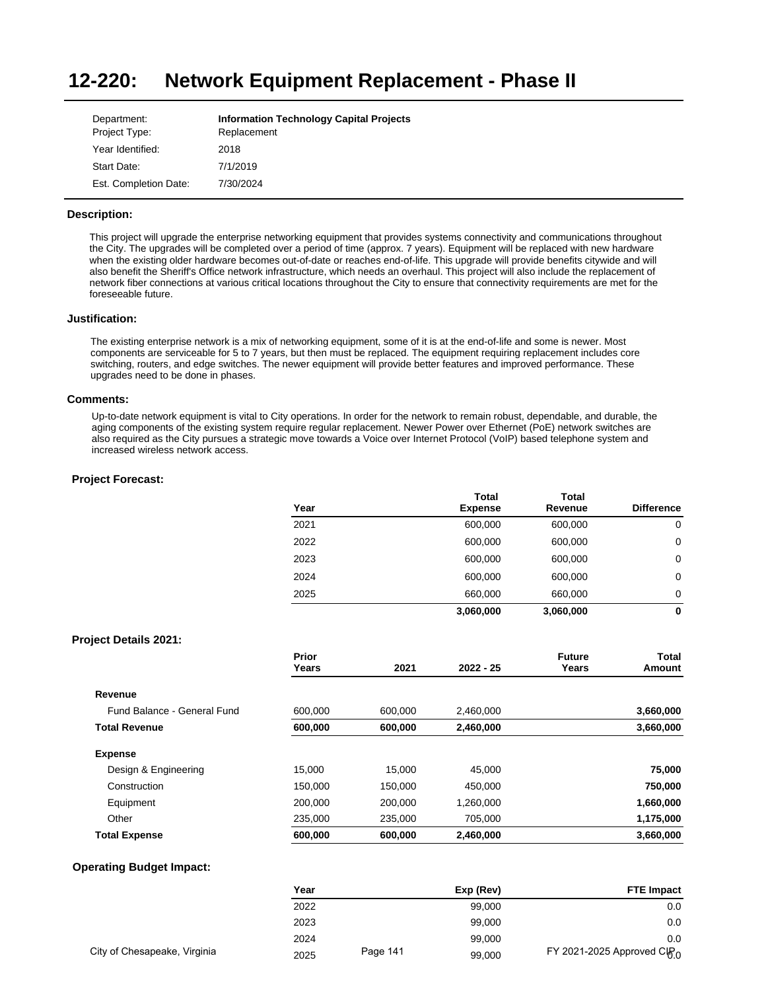#### **12-220: Network Equipment Replacement - Phase II**

| Department:           | <b>Information Technology Capital Projects</b> |
|-----------------------|------------------------------------------------|
| Project Type:         | Replacement                                    |
| Year Identified:      | 2018                                           |
| Start Date:           | 7/1/2019                                       |
| Est. Completion Date: | 7/30/2024                                      |

# **Description:**

This project will upgrade the enterprise networking equipment that provides systems connectivity and communications throughout the City. The upgrades will be completed over a period of time (approx. 7 years). Equipment will be replaced with new hardware when the existing older hardware becomes out-of-date or reaches end-of-life. This upgrade will provide benefits citywide and will also benefit the Sheriff's Office network infrastructure, which needs an overhaul. This project will also include the replacement of network fiber connections at various critical locations throughout the City to ensure that connectivity requirements are met for the foreseeable future.

### **Justification:**

The existing enterprise network is a mix of networking equipment, some of it is at the end-of-life and some is newer. Most components are serviceable for 5 to 7 years, but then must be replaced. The equipment requiring replacement includes core switching, routers, and edge switches. The newer equipment will provide better features and improved performance. These upgrades need to be done in phases.

## **Comments:**

Up-to-date network equipment is vital to City operations. In order for the network to remain robust, dependable, and durable, the aging components of the existing system require regular replacement. Newer Power over Ethernet (PoE) network switches are also required as the City pursues a strategic move towards a Voice over Internet Protocol (VoIP) based telephone system and increased wireless network access.

### **Project Forecast:**

| Year | <b>Total</b>   | <b>Total</b> |                   |
|------|----------------|--------------|-------------------|
|      | <b>Expense</b> | Revenue      | <b>Difference</b> |
| 2021 | 600,000        | 600,000      | 0                 |
| 2022 | 600,000        | 600,000      | 0                 |
| 2023 | 600,000        | 600,000      | 0                 |
| 2024 | 600,000        | 600,000      | 0                 |
| 2025 | 660,000        | 660,000      | 0                 |
|      | 3,060,000      | 3,060,000    | 0                 |

## **Project Details 2021:**

|                             | Prior<br>Years | 2021    | $2022 - 25$ | <b>Future</b><br>Years | Total<br>Amount |
|-----------------------------|----------------|---------|-------------|------------------------|-----------------|
| Revenue                     |                |         |             |                        |                 |
| Fund Balance - General Fund | 600.000        | 600,000 | 2,460,000   |                        | 3,660,000       |
| <b>Total Revenue</b>        | 600,000        | 600,000 | 2,460,000   |                        | 3,660,000       |
| <b>Expense</b>              |                |         |             |                        |                 |
| Design & Engineering        | 15.000         | 15.000  | 45.000      |                        | 75,000          |
| Construction                | 150,000        | 150.000 | 450.000     |                        | 750,000         |
| Equipment                   | 200.000        | 200.000 | 1.260.000   |                        | 1,660,000       |
| Other                       | 235,000        | 235,000 | 705,000     |                        | 1,175,000       |
| <b>Total Expense</b>        | 600,000        | 600,000 | 2,460,000   |                        | 3,660,000       |

|                              | Year |          | Exp (Rev) | <b>FTE Impact</b>                       |
|------------------------------|------|----------|-----------|-----------------------------------------|
|                              | 2022 |          | 99,000    | 0.0                                     |
|                              | 2023 |          | 99.000    | 0.0                                     |
|                              | 2024 |          | 99.000    | 0.0                                     |
| City of Chesapeake, Virginia | 2025 | Page 141 | 99,000    | FY 2021-2025 Approved CIP <sub>.0</sub> |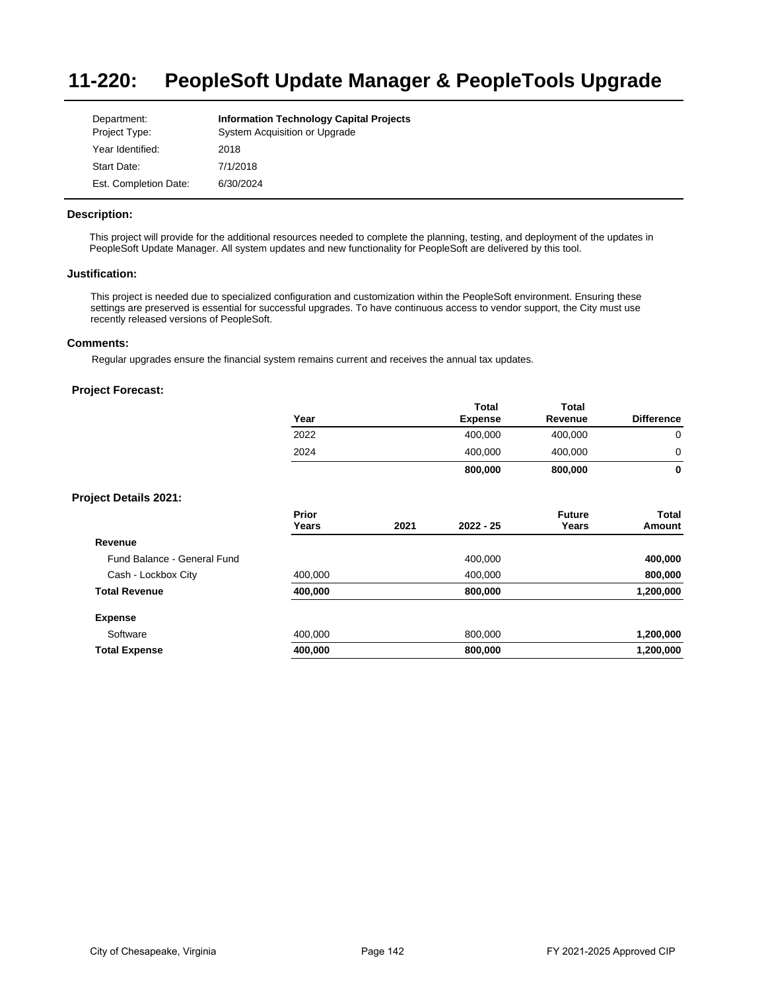#### **11-220: PeopleSoft Update Manager & PeopleTools Upgrade**

| Department:           | <b>Information Technology Capital Projects</b> |
|-----------------------|------------------------------------------------|
| Project Type:         | System Acquisition or Upgrade                  |
| Year Identified:      | 2018                                           |
| Start Date:           | 7/1/2018                                       |
| Est. Completion Date: | 6/30/2024                                      |

# **Description:**

This project will provide for the additional resources needed to complete the planning, testing, and deployment of the updates in PeopleSoft Update Manager. All system updates and new functionality for PeopleSoft are delivered by this tool.

## **Justification:**

This project is needed due to specialized configuration and customization within the PeopleSoft environment. Ensuring these settings are preserved is essential for successful upgrades. To have continuous access to vendor support, the City must use recently released versions of PeopleSoft.

# **Comments:**

Regular upgrades ensure the financial system remains current and receives the annual tax updates.

|                              | Year           |      | <b>Total</b><br><b>Expense</b> | <b>Total</b><br>Revenue | <b>Difference</b> |
|------------------------------|----------------|------|--------------------------------|-------------------------|-------------------|
|                              | 2022           |      | 400,000                        | 400,000                 | 0                 |
|                              | 2024           |      | 400,000                        | 400,000                 | 0                 |
|                              |                |      | 800,000                        | 800,000                 | 0                 |
| <b>Project Details 2021:</b> |                |      |                                |                         |                   |
|                              | Prior<br>Years | 2021 | $2022 - 25$                    | <b>Future</b><br>Years  | Total<br>Amount   |
| Revenue                      |                |      |                                |                         |                   |
| Fund Balance - General Fund  |                |      | 400,000                        |                         | 400,000           |
| Cash - Lockbox City          | 400,000        |      | 400,000                        |                         | 800,000           |
| <b>Total Revenue</b>         | 400,000        |      | 800,000                        |                         | 1,200,000         |
| <b>Expense</b>               |                |      |                                |                         |                   |
| Software                     | 400,000        |      | 800,000                        |                         | 1,200,000         |
| <b>Total Expense</b>         | 400,000        |      | 800,000                        |                         | 1,200,000         |
|                              |                |      |                                |                         |                   |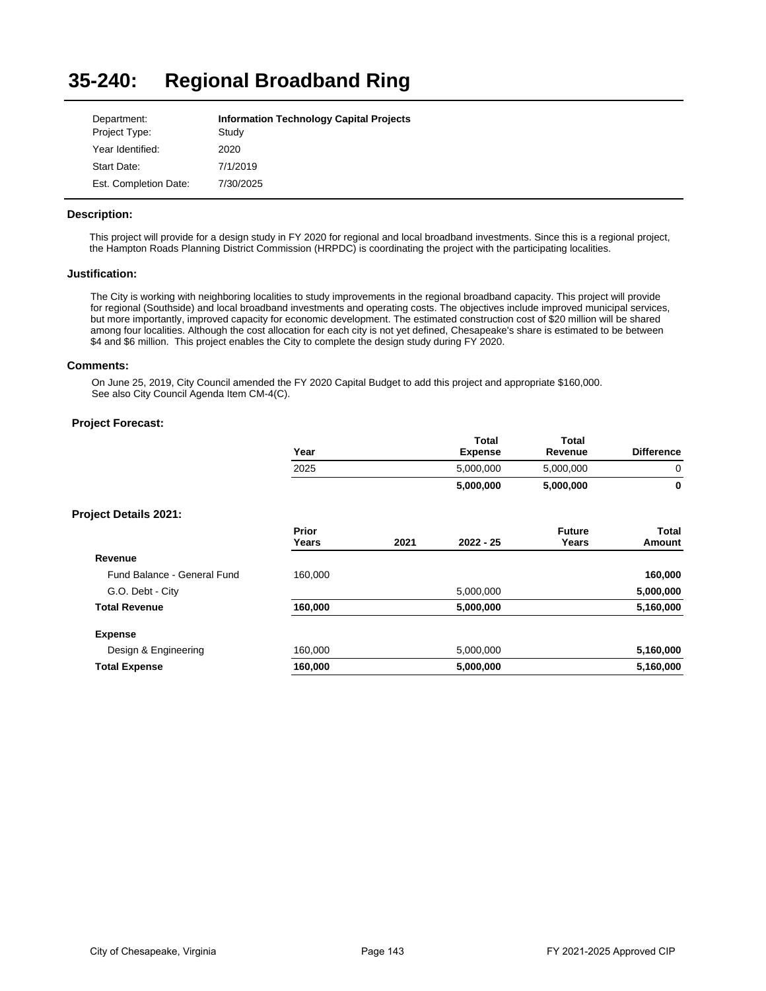#### **35-240: Regional Broadband Ring**

| Department:           | <b>Information Technology Capital Projects</b> |
|-----------------------|------------------------------------------------|
| Project Type:         | Study                                          |
| Year Identified:      | 2020                                           |
| Start Date:           | 7/1/2019                                       |
| Est. Completion Date: | 7/30/2025                                      |

# **Description:**

This project will provide for a design study in FY 2020 for regional and local broadband investments. Since this is a regional project, the Hampton Roads Planning District Commission (HRPDC) is coordinating the project with the participating localities.

# **Justification:**

The City is working with neighboring localities to study improvements in the regional broadband capacity. This project will provide for regional (Southside) and local broadband investments and operating costs. The objectives include improved municipal services, but more importantly, improved capacity for economic development. The estimated construction cost of \$20 million will be shared among four localities. Although the cost allocation for each city is not yet defined, Chesapeake's share is estimated to be between \$4 and \$6 million. This project enables the City to complete the design study during FY 2020.

### **Comments:**

On June 25, 2019, City Council amended the FY 2020 Capital Budget to add this project and appropriate \$160,000. See also City Council Agenda Item CM-4(C).

|                              | Year           |      | <b>Total</b><br><b>Expense</b> | <b>Total</b><br>Revenue | <b>Difference</b> |
|------------------------------|----------------|------|--------------------------------|-------------------------|-------------------|
|                              | 2025           |      | 5,000,000                      | 5,000,000               | 0                 |
|                              |                |      | 5,000,000                      | 5,000,000               | $\bf{0}$          |
| <b>Project Details 2021:</b> |                |      |                                |                         |                   |
|                              | Prior<br>Years | 2021 | $2022 - 25$                    | <b>Future</b><br>Years  | Total<br>Amount   |
| Revenue                      |                |      |                                |                         |                   |
| Fund Balance - General Fund  | 160,000        |      |                                |                         | 160,000           |
| G.O. Debt - City             |                |      | 5,000,000                      |                         | 5,000,000         |
| <b>Total Revenue</b>         | 160,000        |      | 5,000,000                      |                         | 5,160,000         |
| <b>Expense</b>               |                |      |                                |                         |                   |
| Design & Engineering         | 160,000        |      | 5,000,000                      |                         | 5,160,000         |
| <b>Total Expense</b>         | 160,000        |      | 5,000,000                      |                         | 5,160,000         |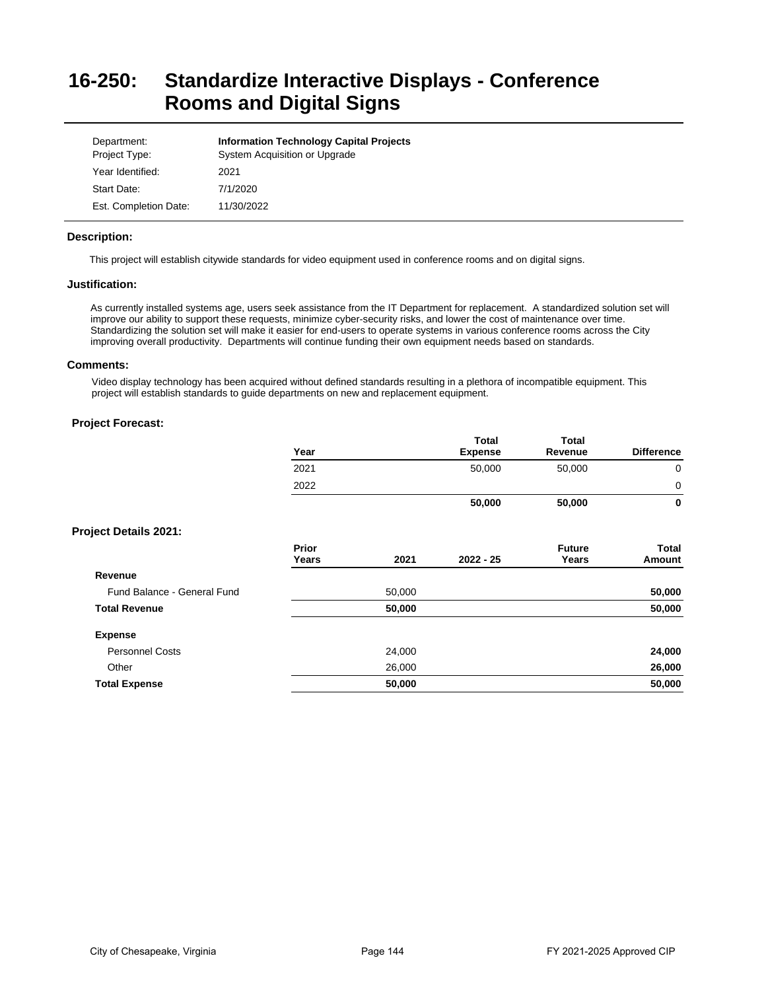# **16-250: Standardize Interactive Displays - Conference Rooms and Digital Signs**

| Department:<br>Project Type: | <b>Information Technology Capital Projects</b><br>System Acquisition or Upgrade |
|------------------------------|---------------------------------------------------------------------------------|
| Year Identified:             | 2021                                                                            |
| Start Date:                  | 7/1/2020                                                                        |
| Est. Completion Date:        | 11/30/2022                                                                      |

# **Description:**

This project will establish citywide standards for video equipment used in conference rooms and on digital signs.

### **Justification:**

As currently installed systems age, users seek assistance from the IT Department for replacement. A standardized solution set will improve our ability to support these requests, minimize cyber-security risks, and lower the cost of maintenance over time. Standardizing the solution set will make it easier for end-users to operate systems in various conference rooms across the City improving overall productivity. Departments will continue funding their own equipment needs based on standards.

# **Comments:**

Video display technology has been acquired without defined standards resulting in a plethora of incompatible equipment. This project will establish standards to guide departments on new and replacement equipment.

|                              | Year                  |        | <b>Total</b><br><b>Expense</b> | Total<br>Revenue       | <b>Difference</b> |
|------------------------------|-----------------------|--------|--------------------------------|------------------------|-------------------|
|                              | 2021                  |        | 50,000                         | 50,000                 | $\mathbf 0$       |
|                              | 2022                  |        |                                |                        | 0                 |
|                              |                       |        | 50,000                         | 50,000                 | $\mathbf 0$       |
| <b>Project Details 2021:</b> |                       |        |                                |                        |                   |
|                              | <b>Prior</b><br>Years | 2021   | $2022 - 25$                    | <b>Future</b><br>Years | Total<br>Amount   |
| Revenue                      |                       |        |                                |                        |                   |
| Fund Balance - General Fund  |                       | 50,000 |                                |                        | 50,000            |
| <b>Total Revenue</b>         |                       | 50,000 |                                |                        | 50,000            |
| <b>Expense</b>               |                       |        |                                |                        |                   |
| <b>Personnel Costs</b>       |                       | 24,000 |                                |                        | 24,000            |
| Other                        |                       | 26,000 |                                |                        | 26,000            |
| <b>Total Expense</b>         |                       | 50,000 |                                |                        | 50,000            |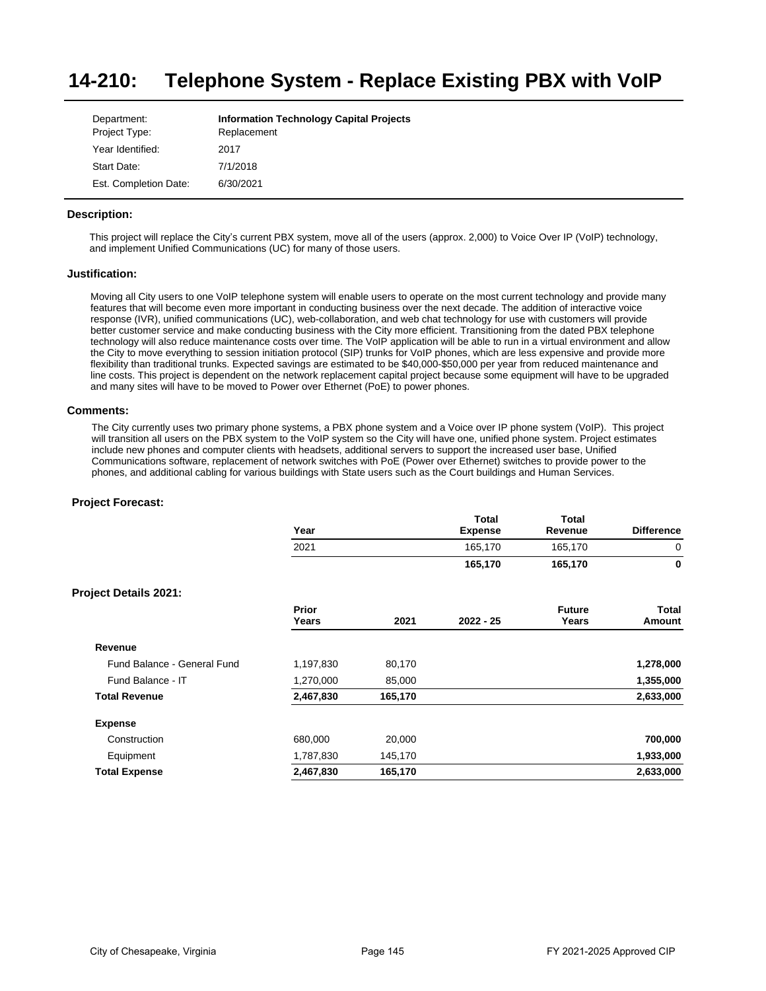#### **14-210: Telephone System - Replace Existing PBX with VoIP**

| Department:           | <b>Information Technology Capital Projects</b> |
|-----------------------|------------------------------------------------|
| Project Type:         | Replacement                                    |
| Year Identified:      | 2017                                           |
| Start Date:           | 7/1/2018                                       |
| Est. Completion Date: | 6/30/2021                                      |

# **Description:**

This project will replace the City's current PBX system, move all of the users (approx. 2,000) to Voice Over IP (VoIP) technology, and implement Unified Communications (UC) for many of those users.

### **Justification:**

Moving all City users to one VoIP telephone system will enable users to operate on the most current technology and provide many features that will become even more important in conducting business over the next decade. The addition of interactive voice response (IVR), unified communications (UC), web-collaboration, and web chat technology for use with customers will provide better customer service and make conducting business with the City more efficient. Transitioning from the dated PBX telephone technology will also reduce maintenance costs over time. The VoIP application will be able to run in a virtual environment and allow the City to move everything to session initiation protocol (SIP) trunks for VoIP phones, which are less expensive and provide more flexibility than traditional trunks. Expected savings are estimated to be \$40,000-\$50,000 per year from reduced maintenance and line costs. This project is dependent on the network replacement capital project because some equipment will have to be upgraded and many sites will have to be moved to Power over Ethernet (PoE) to power phones.

### **Comments:**

The City currently uses two primary phone systems, a PBX phone system and a Voice over IP phone system (VoIP). This project will transition all users on the PBX system to the VoIP system so the City will have one, unified phone system. Project estimates include new phones and computer clients with headsets, additional servers to support the increased user base, Unified Communications software, replacement of network switches with PoE (Power over Ethernet) switches to provide power to the phones, and additional cabling for various buildings with State users such as the Court buildings and Human Services.

|                              | Year           |         | <b>Total</b><br><b>Expense</b> | <b>Total</b><br>Revenue | <b>Difference</b>      |
|------------------------------|----------------|---------|--------------------------------|-------------------------|------------------------|
|                              | 2021           |         | 165,170                        | 165,170                 | 0                      |
|                              |                |         | 165,170                        | 165,170                 | $\mathbf 0$            |
| <b>Project Details 2021:</b> |                |         |                                |                         |                        |
|                              | Prior<br>Years | 2021    | $2022 - 25$                    | <b>Future</b><br>Years  | <b>Total</b><br>Amount |
| Revenue                      |                |         |                                |                         |                        |
| Fund Balance - General Fund  | 1,197,830      | 80,170  |                                |                         | 1,278,000              |
| Fund Balance - IT            | 1,270,000      | 85,000  |                                |                         | 1,355,000              |
| <b>Total Revenue</b>         | 2,467,830      | 165,170 |                                |                         | 2,633,000              |
| <b>Expense</b>               |                |         |                                |                         |                        |
| Construction                 | 680,000        | 20,000  |                                |                         | 700,000                |
| Equipment                    | 1,787,830      | 145,170 |                                |                         | 1,933,000              |
| <b>Total Expense</b>         | 2,467,830      | 165,170 |                                |                         | 2,633,000              |